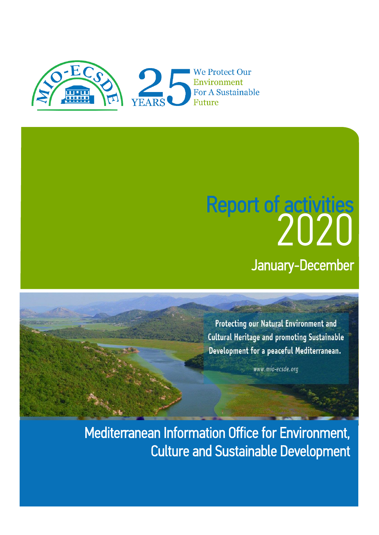

# 2020 January-December Report of activities

Protecting our Natural Environment and **Cultural Heritage and promoting Sustainable** Development for a peaceful Mediterranean.

www.mio-ecsde.org

Mediterranean Information Office for Environment, Culture and Sustainable Development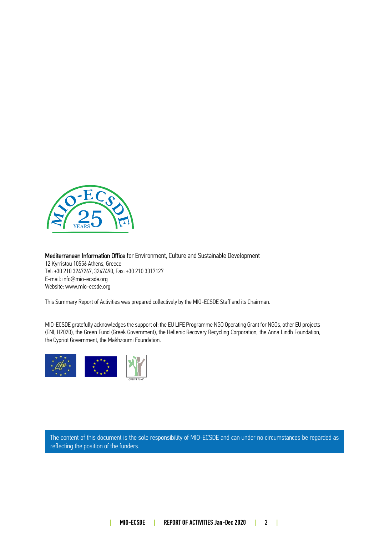

#### Mediterranean Information Office for Environment, Culture and Sustainable Development 12 Kyrristou 10556 Athens, Greece

Tel: +30 210 3247267, 3247490, Fax: +30 210 3317127 E-mail: info@mio-ecsde.org Website[: www.mio-ecsde.org](http://www.mio-ecsde.org/)

This Summary Report of Activities was prepared collectively by the MIO-ECSDE Staff and its Chairman.

MIO-ECSDE gratefully acknowledges the support of: the EU LIFE Programme NGO Operating Grant for NGOs, other EU projects (ENI, H2020), the Green Fund (Greek Government), the Hellenic Recovery Recycling Corporation, the Anna Lindh Foundation, the Cypriot Government, the Makhzoumi Foundation.



The content of this document is the sole responsibility of MIO-ECSDE and can under no circumstances be regarded as reflecting the position of the funders.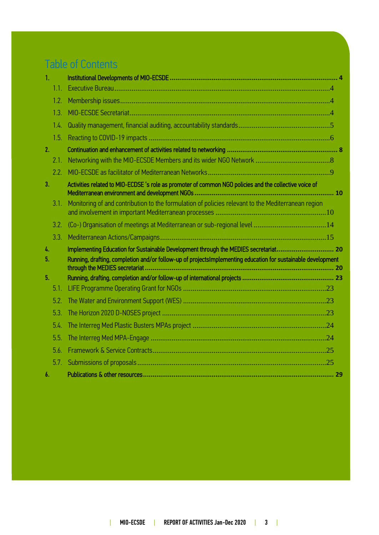# Table of Contents

| 1.            |      |                                                                                                              |  |
|---------------|------|--------------------------------------------------------------------------------------------------------------|--|
|               | 1.1. |                                                                                                              |  |
|               | 1.2. |                                                                                                              |  |
|               | 1.3. |                                                                                                              |  |
|               | 1.4. |                                                                                                              |  |
|               | 1.5. |                                                                                                              |  |
| 2.            |      |                                                                                                              |  |
|               | 2.1. |                                                                                                              |  |
|               | 2.2. |                                                                                                              |  |
| 3.            |      | Activities related to MIO-ECDSE 's role as promoter of common NGO policies and the collective voice of       |  |
|               | 3.1. | Monitoring of and contribution to the formulation of policies relevant to the Mediterranean region           |  |
|               | 3.2. |                                                                                                              |  |
|               | 3.3. |                                                                                                              |  |
| $\frac{1}{4}$ |      | Implementing Education for Sustainable Development through the MEDIES secretariat 20                         |  |
| 5.            |      | Running, drafting, completion and/or follow-up of projectsImplementing education for sustainable development |  |
| 5.            |      |                                                                                                              |  |
|               | 5.1. |                                                                                                              |  |
|               | 5.2. |                                                                                                              |  |
|               | 5.3. |                                                                                                              |  |
|               | 5.4. |                                                                                                              |  |
|               | 5.5. |                                                                                                              |  |
|               | 5.6. |                                                                                                              |  |
|               | 5.7. |                                                                                                              |  |
| 6.            |      |                                                                                                              |  |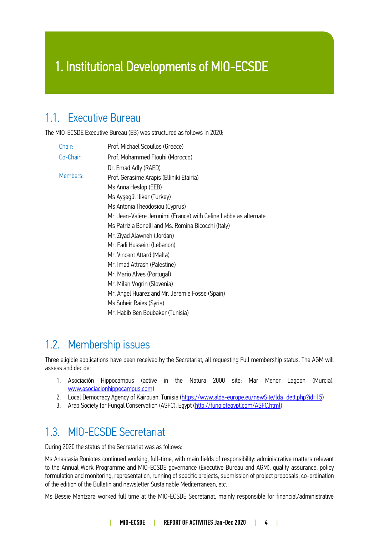## 1. Institutional Developments of MIO-ECSDE

### <span id="page-3-0"></span>1.1. Executive Bureau

The MIO-ECSDE Executive Bureau (EB) was structured as follows in 2020:

| Chair:    | Prof. Michael Scoullos (Greece)                                  |
|-----------|------------------------------------------------------------------|
| Co-Chair: | Prof. Mohammed Ftouhi (Morocco)                                  |
|           | Dr. Emad Adly (RAED)                                             |
| Members:  | Prof. Gerasime Arapis (Elliniki Etairia)                         |
|           | Ms Anna Heslop (EEB)                                             |
|           | Ms Ayşegül Iliker (Turkey)                                       |
|           | Ms Antonia Theodosiou (Cyprus)                                   |
|           | Mr. Jean-Valère Jeronimi (France) with Celine Labbe as alternate |
|           | Ms Patrizia Bonelli and Ms. Romina Bicocchi (Italy)              |
|           | Mr. Ziyad Alawneh (Jordan)                                       |
|           | Mr. Fadi Husseini (Lebanon)                                      |
|           | Mr. Vincent Attard (Malta)                                       |
|           | Mr. Imad Attrash (Palestine)                                     |
|           | Mr. Mario Alves (Portugal)                                       |
|           | Mr. Milan Vogrin (Slovenia)                                      |
|           | Mr. Angel Huarez and Mr. Jeremie Fosse (Spain)                   |
|           | Ms Suheir Raies (Syria)                                          |
|           | Mr. Habib Ben Boubaker (Tunisia)                                 |

### <span id="page-3-1"></span>1.2. Membership issues

Three eligible applications have been received by the Secretariat, all requesting Full membership status. The AGM will assess and decide:

- 1. Asociación Hippocampus (active in the Natura 2000 site: Mar Menor Lagoon (Murcia), [www.asociacionhippocampus.com\)](http://www.asociacionhippocampus.com/)
- 2. Local Democracy Agency of Kairouan, Tunisia [\(https://www.alda-europe.eu/newSite/lda\\_dett.php?id=15\)](https://www.alda-europe.eu/newSite/lda_dett.php?id=15)
- 3. Arab Society for Fungal Conservation (ASFC), Egypt [\(http://fungiofegypt.com/ASFC.html\)](http://fungiofegypt.com/ASFC.html)

### <span id="page-3-2"></span>1.3. MIO-ECSDE Secretariat

During 2020 the status of the Secretariat was as follows:

Ms Anastasia Roniotes continued working, full-time, with main fields of responsibility: administrative matters relevant to the Annual Work Programme and MIO-ECSDE governance (Executive Bureau and AGM), quality assurance, policy formulation and monitoring, representation, running of specific projects, submission of project proposals, co-ordination of the edition of the Bulletin and newsletter Sustainable Mediterranean, etc.

Ms Bessie Mantzara worked full time at the MIO-ECSDE Secretariat, mainly responsible for financial/administrative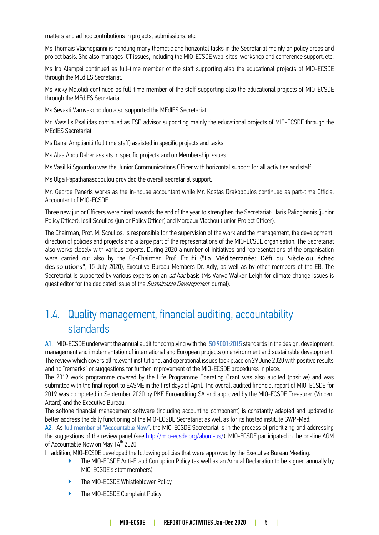matters and ad hoc contributions in projects, submissions, etc.

Ms Thomais Vlachogianni is handling many thematic and horizontal tasks in the Secretariat mainly on policy areas and project basis. She also manages ICT issues, including the MIO-ECSDE web-sites, workshop and conference support, etc.

Ms Iro Alampei continued as full-time member of the staff supporting also the educational projects of MIO-ECSDE through the MEdIES Secretariat.

Ms Vicky Malotidi continued as full-time member of the staff supporting also the educational projects of MIO-ECSDE through the MEdIES Secretariat.

Ms Sevasti Vamvakopoulou also supported the MEdIES Secretariat.

Mr. Vassilis Psallidas continued as ESD advisor supporting mainly the educational projects of MIO-ECSDE through the MEdIES Secretariat.

Ms Danai Amplianiti (full time staff) assisted in specific projects and tasks.

Ms Alaa Abou Daher assists in specific projects and on Membership issues.

Ms Vasiliki Sgourdou was the Junior Communications Officer with horizontal support for all activities and staff.

Ms Olga Papathanasopoulou provided the overall secretarial support.

Mr. George Paneris works as the in-house accountant while Mr. Kostas Drakopoulos continued as part-time Official Accountant of MIO-ECSDE.

Three new junior Officers were hired towards the end of the year to strengthen the Secretariat: Haris Paliogiannis (junior Policy Officer), Iosif Scoullos (junior Policy Officer) and Margaux Vlachou (junior Project Officer).

The Chairman, Prof. M. Scoullos, is responsible for the supervision of the work and the management, the development, direction of policies and projects and a large part of the representations of the MIO-ECSDE organisation. The Secretariat also works closely with various experts. During 2020 a number of initiatives and representations of the organisation were carried out also by the Co-Chairman Prof. Ftouhi ("La Méditerranée: Défi du Siècle ou échec des solutions", 15 July 2020), Executive Bureau Members Dr. Adly, as well as by other members of the EB. The Secretariat is supported by various experts on an *ad hoc* basis (Ms Vanya Walker-Leigh for climate change issues is guest editor for the dedicated issue of the Sustainable Development journal).

### <span id="page-4-0"></span>1.4. Quality management, financial auditing, accountability standards

A1. MIO-ECSDE underwent the annual audit for complying with the ISO 9001:2015 standards in the design, development, management and implementation of international and European projects on environment and sustainable development. The review which covers all relevant institutional and operational issues took place on 29 June 2020 with positive results and no "remarks" or suggestions for further improvement of the MIO-ECSDE procedures in place.

The 2019 work programme covered by the Life Programme Operating Grant was also audited (positive) and was submitted with the final report to EASME in the first days of April. The overall audited financial report of MIO-ECSDE for 2019 was completed in September 2020 by PKF Euroauditing SA and approved by the MIO-ECSDE Treasurer (Vincent Attard) and the Executive Bureau.

The softone financial management software (including accounting component) is constantly adapted and updated to better address the daily functioning of the MIO-ECSDE Secretariat as well as for its hosted institute GWP-Med.

A2. As full member of "Accountable Now", the MIO-ECSDE Secretariat is in the process of prioritizing and addressing the suggestions of the review panel (se[e http://mio-ecsde.org/about-us/\)](http://mio-ecsde.org/about-us/). MIO-ECSDE participated in the on-line AGM of Accountable Now on May 14<sup>th</sup> 2020.

In addition, MIO-ECSDE developed the following policies that were approved by the Executive Bureau Meeting.

- ▶ The MIO-ECSDE Anti-Fraud Corruption Policy (as well as an Annual Declaration to be signed annually by MIO-ECSDE's staff members)
- ▶ The MIO-ECSDE Whistleblower Policy
- ▶ The MIO-ECSDE Complaint Policy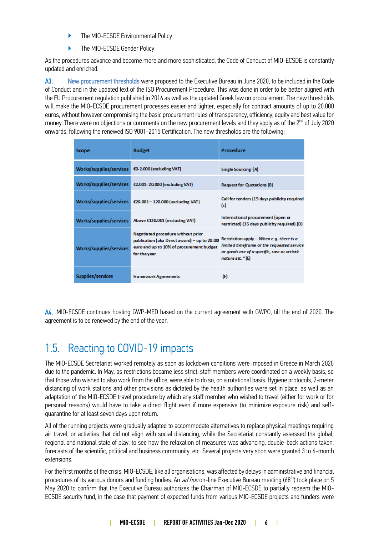- ▶ The MIO-ECSDE Environmental Policy
- ▶ The MIO-ECSDE Gender Policy

As the procedures advance and become more and more sophisticated, the Code of Conduct of MIO-ECSDE is constantly updated and enriched.

A3. New procurement thresholds were proposed to the Executive Bureau in June 2020, to be included in the Code of Conduct and in the updated text of the ISO Procurement Procedure. This was done in order to be better aligned with the EU Procurement regulation published in 2016 as well as the updated Greek law on procurement. The new thresholds will make the MIO-ECSDE procurement processes easier and lighter, especially for contract amounts of up to 20.000 euros, without however compromising the basic procurement rules of transparency, efficiency, equity and best value for money. There were no objections or comments on the new procurement levels and they apply as of the 2<sup>nd</sup> of July 2020 onwards, following the renewed ISO 9001-2015 Certification. The new thresholds are the following:

| Scope                   | <b>Budget</b>                                                                                                                                  | Procedure                                                                                                                                                   |
|-------------------------|------------------------------------------------------------------------------------------------------------------------------------------------|-------------------------------------------------------------------------------------------------------------------------------------------------------------|
| Works/supplies/services | €0-2.000 (excluding VAT)                                                                                                                       | Single Sourcing (A)                                                                                                                                         |
| Works/supplies/services | €2.001-20.000 (excluding VAT)                                                                                                                  | <b>Request for Quotations (B)</b>                                                                                                                           |
| Works/supplies/services | €20.001-120.000 (excluding VAT)                                                                                                                | Call for tenders (15 days publicity required)<br>(c)                                                                                                        |
| Works/supplies/services | Above €120.001 (excluding VAT)                                                                                                                 | International procurement (open or<br>restricted) (35 days publicity required) (D)                                                                          |
| Works/supplies/services | Negotiated procedure without prior<br>publication (aka Direct award) - up to 20.00<br>euro and up to 10% of procurement budget<br>for the year | Restriction apply - When e.g. there is a<br>limited timeframe or the requested service.<br>or goods are of a specific, rare or artistic<br>nature etc." (E) |
| Supplies/services       | <b>Framework Agreements</b>                                                                                                                    | (F)                                                                                                                                                         |

A4. MIO-ECSDE continues hosting GWP-MED based on the current agreement with GWPO, till the end of 2020. The agreement is to be renewed by the end of the year.

### <span id="page-5-0"></span>1.5. Reacting to COVID-19 impacts

The MIO-ECSDE Secretariat worked remotely as soon as lockdown conditions were imposed in Greece in March 2020 due to the pandemic. In May, as restrictions became less strict, staff members were coordinated on a weekly basis, so that those who wished to also work from the office, were able to do so, on a rotational basis. Hygiene protocols, 2-meter distancing of work stations and other provisions as dictated by the health authorities were set in place, as well as an adaptation of the MIO-ECSDE travel procedure by which any staff member who wished to travel (either for work or for personal reasons) would have to take a direct flight even if more expensive (to minimize exposure risk) and selfquarantine for at least seven days upon return.

All of the running projects were gradually adapted to accommodate alternatives to replace physical meetings requiring air travel, or activities that did not align with social distancing, while the Secretariat constantly assessed the global, regional and national state of play, to see how the relaxation of measures was advancing, double-back actions taken, forecasts of the scientific, political and business community, etc. Several projects very soon were granted 3 to 6-month extensions.

For the first months of the crisis, MIO-ECSDE, like all organisations, was affected by delays in administrative and financial procedures of its various donors and funding bodies. An *ad hoc* on-line Executive Bureau meeting (68<sup>th</sup>) took place on 5 May 2020 to confirm that the Executive Bureau authorizes the Chairman of MIO-ECSDE to partially redeem the MIO-ECSDE security fund, in the case that payment of expected funds from various MIO-ECSDE projects and funders were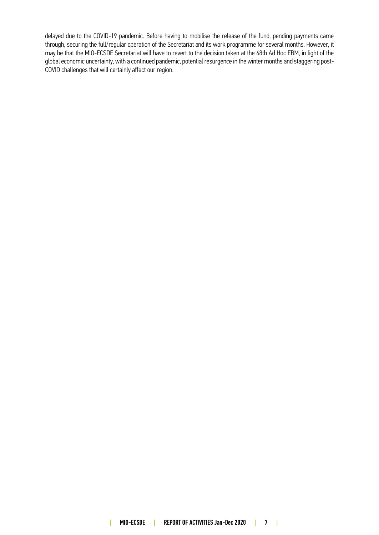delayed due to the COVID-19 pandemic. Before having to mobilise the release of the fund, pending payments came through, securing the full/regular operation of the Secretariat and its work programme for several months. However, it may be that the MIO-ECSDE Secretariat will have to revert to the decision taken at the 68th Ad Hoc EBM, in light of the global economic uncertainty, with a continued pandemic, potential resurgence in the winter months and staggering post-COVID challenges that will certainly affect our region.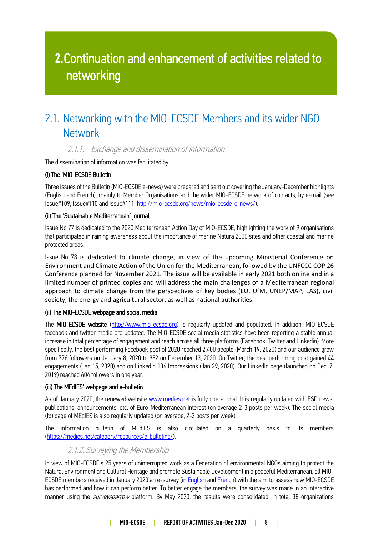# 2.Continuation and enhancement of activities related to networking

### <span id="page-7-0"></span>2.1. Networking with the MIO-ECSDE Members and its wider NGO **Network**

### 2.1.1. Exchange and dissemination of information

The dissemination of information was facilitated by:

#### (i) The 'MIO-ECSDE Bulletin'

Three issues of the Bulletin (MIO-ECSDE e-news) were prepared and sent out covering the January-December highlights (English and French), mainly to Member Organisations and the wider MIO-ECSDE network of contacts, by e-mail (see Issue#109, Issue#110 and Issue#111, [http://mio-ecsde.org/news/mio-ecsde-e-news/\)](http://mio-ecsde.org/news/mio-ecsde-e-news/).

#### (ii) The 'Sustainable Mediterranean' journal

Issue No 77 is dedicated to the 2020 Mediterranean Action Day of MIO-ECSDE, highlighting the work of 9 organisations that participated in raining awareness about the importance of marine Natura 2000 sites and other coastal and marine protected areas.

Issue No 78 is dedicated to climate change, in view of the upcoming Ministerial Conference on Environment and Climate Action of the Union for the Mediterranean, followed by the UNFCCC COP 26 Conference planned for November 2021. The issue will be available in early 2021 both online and in a limited number of printed copies and will address the main challenges of a Mediterranean regional approach to climate change from the perspectives of key bodies (EU, UfM, UNEP/MAP, LAS), civil society, the energy and agricultural sector, as well as national authorities.

#### (ii) The MIO-ECSDE webpage and social media

The MIO-ECSDE website [\(http://www.mio-ecsde.org\)](http://www.mio-ecsde.org/) is regularly updated and populated. In addition, MIO-ECSDE facebook and twitter media are updated. The MIO-ECSDE social media statistics have been reporting a stable annual increase in total percentage of engagement and reach across all three platforms (Facebook, Twitter and Linkedin). More specifically, the best performing Facebook post of 2020 reached 2.400 people (March 19, 2020) and our audience grew from 776 followers on January 8, 2020 to 982 on December 13, 2020. On Twitter, the best performing post gained 44 engagements (Jan 15, 2020) and on LinkedIn 136 Impressions (Jan 29, 2020). Our LinkedIn page (launched on Dec. 7, 2019) reached 604 followers in one year.

#### (iii) The MEdIES' webpage and e-bulletin

As of January 2020, the renewed website [www.medies.net](http://www.medies.net/) is fully operational. It is regularly updated with ESD news, publications, announcements, etc. of Euro-Mediterranean interest (on average 2-3 posts per week). The social media (fb) page of MEdIES is also regularly updated (on average, 2-3 posts per week).

The information bulletin of MEdIES is also circulated on a quarterly basis to its members [\(https://medies.net/category/resources/e-bulletins/\)](https://medies.net/category/resources/e-bulletins/).

### 2.1.2. Surveying the Membership

In view of MIO-ECSDE's 25 years of uninterrupted work as a Federation of environmental NGOs aiming to protect the Natural Environment and Cultural Heritage and promote Sustainable Development in a peaceful Mediterranean, all MIOECSDE members received in January 2020 an e-survey (i[n English](https://alaaboudaher2.surveysparrow.com/s/mio-ecsde-performance-evaluation/tt-c169ce?) and [French\)](https://sprw.io/stt-ec55ba) with the aim to assess how MIO-ECSDE has performed and how it can perform better. To better engage the members, the survey was made in an interactive manner using the *surveysparrow* platform. By May 2020, the results were consolidated. In total 38 organizations

#### | MIO-ECSDE | REPORT OF ACTIVITIES Jan-Dec 2020 | 8 |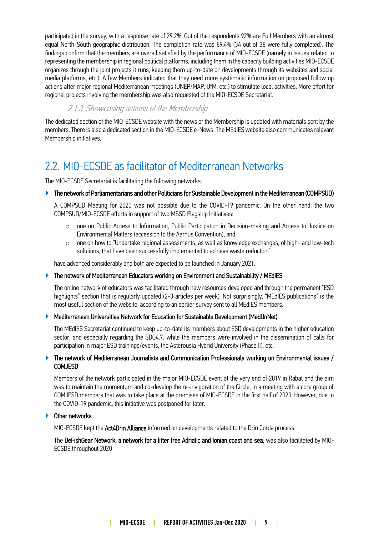participated in the survey, with a response rate of 29.2%. Out of the respondents 92% are Full Members with an almost equal North-South geographic distribution. The completion rate was 89.4% (34 out of 38 were fully completed). The findings confirm that the members are overall satisfied by the performance of MIO-ECSDE (namely in issues related to representing the membership in regional political platforms, including them in the capacity building activities MIO-ECSDE organizes through the joint projects it runs, keeping them up-to-date on developments through its websites and social media platforms, etc.). A few Members indicated that they need more systematic information on proposed follow up actions after major regional Mediterranean meetings (UNEP/MAP, UfM, etc.) to stimulate local activities. More effort for regional projects involving the membership was also requested of the MIO-ECSDE Secretariat.

### 2.1.3. Showcasing actions of the Membership

The dedicated section of the MIO-ECSDE website with the news of the Membership is updated with materials sent by the members. There is also a dedicated section in the MIO-ECSDE e-News. The MEdIES website also communicates relevant Membership initiatives.

### <span id="page-8-0"></span>2.2. MIO-ECSDE as facilitator of Mediterranean Networks

The MIO-ECSDE Secretariat is facilitating the following networks:

#### ▶ The network of Parliamentarians and other Politicians for Sustainable Development in the Mediterranean (COMPSUD)

A COMPSUD Meeting for 2020 was not possible due to the COVID-19 pandemic. On the other hand, the two COMPSUD/MIO-ECSDE efforts in support of two MSSD Flagship Initiatives:

- o one on Public Access to Information, Public Participation in Decision-making and Access to Justice on Environmental Matters (accession to the Aarhus Convention), and
- $\circ$  one on how to "Undertake regional assessments, as well as knowledge exchanges, of high- and low-tech solutions, that have been successfully implemented to achieve waste reduction"

have advanced considerably and both are expected to be launched in January 2021.

#### ▶ The network of Mediterranean Educators working on Environment and Sustainability / MEdIES

The online network of educators was facilitated through new resources developed and through the permanent "ESD highlights" section that is regularly updated (2-3 articles per week). Not surprisingly, "MEdIES publications" is the most useful section of the website, according to an earlier survey sent to all MEdIES members.

#### ▶ Mediterranean Universities Network for Education for Sustainable Development (MedUnNet)

The MEdIES Secretariat continued to keep up-to-date its members about ESD developments in the higher education sector, and especially regarding the SDG4.7, while the members were involved in the dissemination of calls for participation in major ESD trainings/events, the Asterousia Hybrid University (Phase II), etc.

#### ▶ The network of Mediterranean Journalists and Communication Professionals working on Environmental issues / COMJESD

Members of the network participated in the major MIO-ECSDE event at the very end of 2019 in Rabat and the aim was to maintain the momentum and co-develop the re-invigoration of the Circle, in a meeting with a core group of COMJESD members that was to take place at the premises of MIO-ECSDE in the first half of 2020. However, due to the COVID-19 pandemic, this initiative was postponed for later.

#### Other networks

MIO-ECSDE kept the Act4Drin Alliance informed on developments related to the Drin Corda process.

The DeFishGear Network, a network for a litter free Adriatic and Ionian coast and sea, was also facilitated by MIO-ECSDE throughout 2020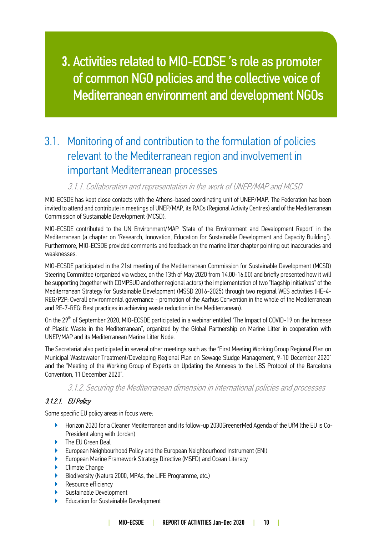# 3. Activities related to MIO-ECDSE 's role as promoter of common NGO policies and the collective voice of Mediterranean environment and development NGOs

### <span id="page-9-0"></span>3.1. Monitoring of and contribution to the formulation of policies relevant to the Mediterranean region and involvement in important Mediterranean processes

### 3.1.1. Collaboration and representation in the work of UNEP/MAP and MCSD

MIO-ECSDE has kept close contacts with the Athens-based coordinating unit of UNEP/MAP. The Federation has been invited to attend and contribute in meetings of UNEP/MAP, its RACs (Regional Activity Centres) and of the Mediterranean Commission of Sustainable Development (MCSD).

MIO-ECSDE contributed to the UN Environment/MAP 'State of the Environment and Development Report' in the Mediterranean (a chapter on 'Research, Innovation, Education for Sustainable Development and Capacity Building'). Furthermore, MIO-ECSDE provided comments and feedback on the marine litter chapter pointing out inaccuracies and weaknesses.

MIO-ECSDE participated in the 21st meeting of the Mediterranean Commission for Sustainable Development (MCSD) Steering Committee (organized via webex, on the 13th of May 2020 from 14.00-16.00) and briefly presented how it will be supporting (together with COMPSUD and other regional actors) the implementation of two "flagship initiatives" of the Mediterranean Strategy for Sustainable Development (MSSD 2016-2025) through two regional WES activities (HE-4- REG/P2P: Overall environmental governance - promotion of the Aarhus Convention in the whole of the Mediterranean and RE-7-REG: Best practices in achieving waste reduction in the Mediterranean).

On the 29<sup>th</sup> of September 2020, MIO-ECSDE participated in a webinar entitled "The Impact of COVID-19 on the Increase of Plastic Waste in the Mediterranean", organized by the Global Partnership on Marine Litter in cooperation with UNEP/MAP and its Mediterranean Marine Litter Node.

The Secretariat also participated in several other meetings such as the "First Meeting Working Group Regional Plan on Municipal Wastewater Treatment/Developing Regional Plan on Sewage Sludge Management, 9-10 December 2020" and the "Meeting of the Working Group of Experts on Updating the Annexes to the LBS Protocol of the Barcelona Convention, 11 December 2020".

### 3.1.2. Securing the Mediterranean dimension in international policies and processes

### 3.1.2.1. EU Policy

Some specific EU policy areas in focus were:

- ▶ Horizon 2020 for a Cleaner Mediterranean and its follow-up 2030GreenerMed Agenda of the UfM (the EU is Co-President along with Jordan)
- The EU Green Deal
- ▶ European Neighbourhood Policy and the European Neighbourhood Instrument (ENI)
- European Marine Framework Strategy Directive (MSFD) and Ocean Literacy
- **Climate Change**
- ▶ Biodiversity (Natura 2000, MPAs, the LIFE Programme, etc.)
- ▶ Resource efficiency
- ▶ Sustainable Development
- **Education for Sustainable Development**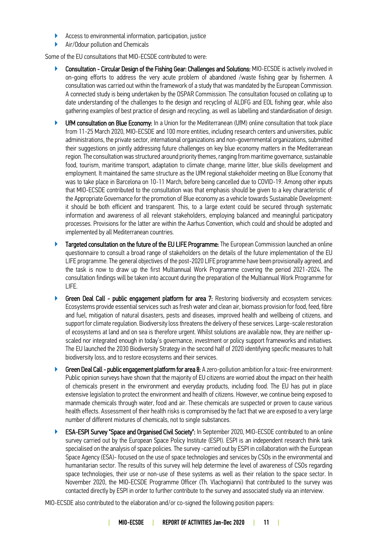- ▶ Access to environmental information, participation, justice
- ▶ Air/Odour pollution and Chemicals

Some of the EU consultations that MIO-ECSDE contributed to were:

- Consultation Circular Design of the Fishing Gear: Challenges and Solutions: MIO-ECSDE is actively involved in on-going efforts to address the very acute problem of abandoned /waste fishing gear by fishermen. A consultation was carried out within the framework of a study that was mandated by the European Commission. A connected study is being undertaken by the OSPAR Commission. The consultation focused on collating up to date understanding of the challenges to the design and recycling of ALDFG and EOL fishing gear, while also gathering examples of best practice of design and recycling, as well as labelling and standardisation of design.
- UfM consultation on Blue Economy: In a Union for the Mediterranean (UfM) online consultation that took place from 11-25 March 2020, MIO-ECSDE and 100 more entities, including research centers and universities, public administrations, the private sector, international organizations and non-governmental organizations, submitted their suggestions on jointly addressing future challenges on key blue economy matters in the Mediterranean region. The consultation was structured around priority themes, ranging from maritime governance, sustainable food, tourism, maritime transport, adaptation to climate change, marine litter, blue skills development and employment. It maintained the same structure as the UfM regional stakeholder meeting on Blue Economy that was to take place in Barcelona on 10-11 March, before being cancelled due to COVID-19. Among other inputs that MIO-ECSDE contributed to the consultation was that emphasis should be given to a key characteristic of the Appropriate Governance for the promotion of Blue economy as a vehicle towards Sustainable Development: it should be both efficient and transparent. This, to a large extent could be secured through systematic information and awareness of all relevant stakeholders, employing balanced and meaningful participatory processes. Provisions for the latter are within the Aarhus Convention, which could and should be adopted and implemented by all Mediterranean countries.
- Targeted consultation on the future of the EU LIFE Programme: The European Commission launched an online questionnaire to consult a broad range of stakeholders on the details of the future implementation of the EU LIFE programme. The general objectives of the post-2020 LIFE programme have been provisionally agreed, and the task is now to draw up the first Multiannual Work Programme covering the period 2021-2024. The consultation findings will be taken into account during the preparation of the Multiannual Work Programme for LIFE.
- Green Deal Call public engagement platform for area 7: Restoring biodiversity and ecosystem services: Ecosystems provide essential services such as fresh water and clean air, biomass provision for food, feed, fibre and fuel, mitigation of natural disasters, pests and diseases, improved health and wellbeing of citizens, and support for climate regulation. Biodiversity loss threatens the delivery of these services. Large-scale restoration of ecosystems at land and on sea is therefore urgent. Whilst solutions are available now, they are neither upscaled nor integrated enough in today's governance, investment or policy support frameworks and initiatives. The EU launched the 2030 Biodiversity Strategy in the second half of 2020 identifying specific measures to halt biodiversity loss, and to restore ecosystems and their services.
- Green Deal Call public engagement platform for area 8: A zero-pollution ambition for a toxic-free environment: Public opinion surveys have shown that the majority of EU citizens are worried about the impact on their health of chemicals present in the environment and everyday products, including food. The EU has put in place extensive legislation to protect the environment and health of citizens. However, we continue being exposed to manmade chemicals through water, food and air. These chemicals are suspected or proven to cause various health effects. Assessment of their health risks is compromised by the fact that we are exposed to a very large number of different mixtures of chemicals, not to single substances.
- ▶ ESA-ESPI Survey "Space and Organised Civil Society": In September 2020, MIO-ECSDE contributed to an online survey carried out by the European Space Policy Institute (ESPI). ESPI is an independent research think tank specialised on the analysis of space policies. The survey -carried out by ESPI in collaboration with the European Space Agency (ESA)- focused on the use of space technologies and services by CSOs in the environmental and humanitarian sector. The results of this survey will help determine the level of awareness of CSOs regarding space technologies, their use or non-use of these systems as well as their relation to the space sector. In November 2020, the MIO-ECSDE Programme Officer (Th. Vlachogianni) that contributed to the survey was contacted directly by ESPI in order to further contribute to the survey and associated study via an interview.

MIO-ECSDE also contributed to the elaboration and/or co-signed the following position papers: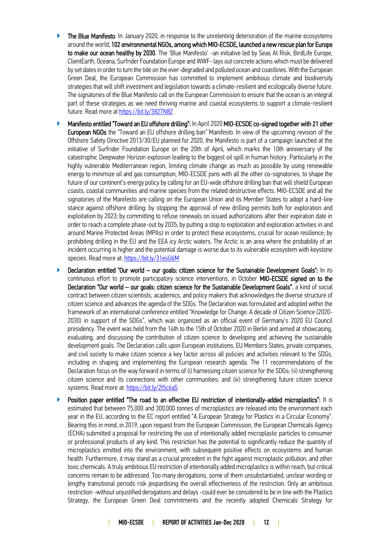- ▶ The Blue Manifesto: In January 2020, in response to the unrelenting deterioration of the marine ecosystems around the world, 102 environmental NGOs, among which MIO-ECSDE, launched a new rescue plan for Europe to make our ocean healthy by 2030. The 'Blue Manifesto' -an initiative led by Seas At Risk, BirdLife Europe, ClientEarth, Oceana, Surfrider Foundation Europe and WWF-lays out concrete actions which must be delivered by set dates in order to turn the tide on the ever-degraded and polluted ocean and coastlines. With the European Green Deal, the European Commission has committed to implement ambitious climate and biodiversity strategies that will shift investment and legislation towards a climate-resilient and ecologically diverse future. The signatories of the Blue Manifesto call on the European Commission to ensure that the ocean is an integral part of these strategies as we need thriving marine and coastal ecosystems to support a climate-resilient future. Read more a[t https://bit.ly/3827N8Z](https://bit.ly/3827N8Z)
- ▶ Manifesto entitled "Toward an EU offshore drilling": In April 2020 MIO-ECSDE co-signed together with 21 other European NGOs the "Toward an EU offshore drilling ban" Manifesto. In view of the upcoming revision of the Offshore Safety Directive 2013/30/EU planned for 2020, the Manifesto is part of a campaign launched at the initiative of Surfrider Foundation Europe on the 20th of April, which marks the 10th anniversary of the catastrophic Deepwater Horizon explosion leading to the biggest oil spill in human history. Particularly in the highly vulnerable Mediterranean region, limiting climate change as much as possible by using renewable energy to minimize oil and gas consumption, MIO-ECSDE joins with all the other co-signatories, to shape the future of our continent's energy policy by calling for an EU-wide offshore drilling ban that will shield European coasts, coastal communities and marine species from the related destructive effects. MIO-ECSDE and all the signatories of the Manifesto are calling on the European Union and its Member States to adopt a hard-line stance against offshore drilling: by stopping the approval of new drilling permits both for exploration and exploitation by 2023; by committing to refuse renewals on issued authorizations after their expiration date in order to reach a complete phase-out by 2035; by putting a stop to exploitation and exploration activities in and around Marine Protected Areas (MPAs) in order to protect these ecosystems, crucial for ocean resilience; by prohibiting drilling in the EU and the EEA icy Arctic waters. The Arctic is an area where the probability of an incident occurring is higher and the potential damage is worse due to its vulnerable ecosystem with keystone species. Read more at[: https://bit.ly/31esU6M](https://bit.ly/31esU6M)
- ▶ Declaration entitled "Our world our goals: citizen science for the Sustainable Development Goals": In its continuous effort to promote participatory science interventions, in October MIO-ECSDE signed on to the Declaration "Our world – our goals: citizen science for the Sustainable Development Goals", a kind of social contract between citizen scientists, academics, and policy makers that acknowledges the diverse structure of citizen science and advances the agenda of the SDGs. The Declaration was formulated and adopted within the framework of an international conference entitled "Knowledge for Change: A decade of Citizen Science (2020- 2030) in support of the SDGs", which was organized as an official event of Germany's 2020 EU Council presidency. The event was held from the 14th to the 15th of October 2020 in Berlin and aimed at showcasing, evaluating, and discussing the contribution of citizen science to developing and achieving the sustainable development goals. The Declaration calls upon European institutions, EU Members States, private companies, and civil society to make citizen science a key factor across all policies and activities relevant to the SDGs, including in shaping and implementing the European research agenda. The 11 recommendations of the Declaration focus on the way forward in terms of (i) harnessing citizen science for the SDGs; (ii) strengthening citizen science and its connections with other communities; and (iii) strengthening future citizen science systems. Read more at:<https://bit.ly/2I5c6aS>
- ▶ Position paper entitled "The road to an effective EU restriction of intentionally-added microplastics": It is estimated that between 75,000 and 300,000 tonnes of microplastics are released into the environment each year in the EU, according to the EC report entitled "A European Strategy for Plastics in a Circular Economy". Bearing this in mind, in 2019, upon request from the European Commission, the European Chemicals Agency (ECHA) submitted a proposal for restricting the use of intentionally added microplastic particles to consumer or professional products of any kind. This restriction has the potential to significantly reduce the quantity of microplastics emitted into the environment, with subsequent positive effects on ecosystems and human health. Furthermore, it may stand as a crucial precedent in the fight against microplastic pollution, and other toxic chemicals. A truly ambitious EU restriction of intentionally added microplastics is within reach, but critical concerns remain to be addressed. Too many derogations, some of them unsubstantiated, unclear wording or lengthy transitional periods risk jeopardising the overall effectiveness of the restriction. Only an ambitious restriction -without unjustified derogations and delays -could ever be considered to be in line with the Plastics Strategy, the European Green Deal commitments and the recently adopted Chemicals Strategy for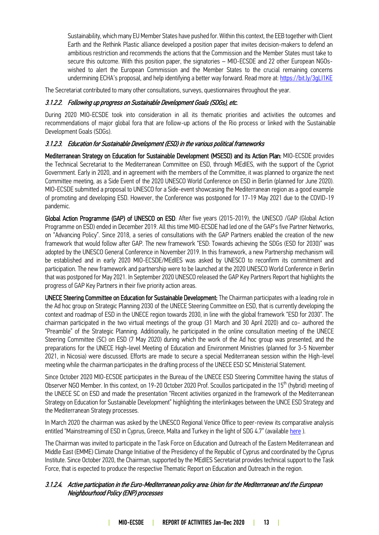Sustainability, which many EU Member States have pushed for. Within this context, the EEB together with Client Earth and the Rethink Plastic alliance developed a position paper that invites decision-makers to defend an ambitious restriction and recommends the actions that the Commission and the Member States must take to secure this outcome. With this position paper, the signatories – MIO-ECSDE and 22 other European NGOswished to alert the European Commission and the Member States to the crucial remaining concerns undermining ECHA's proposal, and help identifying a better way forward. Read more at: <https://bit.ly/3gLI1KE>

The Secretariat contributed to many other consultations, surveys, questionnaires throughout the year.

#### 3.1.2.2. Following up progress on Sustainable Development Goals (SDGs), etc.

During 2020 MIO-ECSDE took into consideration in all its thematic priorities and activities the outcomes and recommendations of major global fora that are follow-up actions of the Rio process or linked with the Sustainable Development Goals (SDGs).

#### 3.1.2.3. Education for Sustainable Development (ESD) in the various political frameworks

Mediterranean Strategy on Education for Sustainable Development (MSESD) and its Action Plan: MIO-ECSDE provides the Technical Secretariat to the Mediterranean Committee on ESD, through MEdIES, with the support of the Cypriot Government. Early in 2020, and in agreement with the members of the Committee, it was planned to organize the next Committee meeting, as a Side Event of the 2020 UNESCO World Conference on ESD in Berlin (planned for June 2020). MIO-ECSDE submitted a proposal to UNESCO for a Side-event showcasing the Mediterranean region as a good example of promoting and developing ESD. However, the Conference was postponed for 17-19 May 2021 due to the COVID-19 pandemic.

Global Action Programme (GAP) of UNESCO on ESD: After five years (2015-2019), the UNESCO /GAP (Global Action Programme on ESD) ended in December 2019. All this time MIO-ECSDE had led one of the GAP's five Partner Networks, on "Advancing Policy". Since 2018, a series of consultations with the GAP Partners enabled the creation of the new framework that would follow after GAP. The new framework "ESD: Towards achieving the SDGs (ESD for 2030)" was adopted by the UNESCO General Conference in November 2019. In this framework, a new Partnership mechanism will be established and in early 2020 MIO-ECSDE/MEdIES was asked by UNESCO to reconfirm its commitment and participation. The new framework and partnership were to be launched at the 2020 UNESCO World Conference in Berlin that was postponed for May 2021. In September 2020 UNESCO released the GAP Key Partners Report that highlights the progress of GAP Key Partners in their five priority action areas.

UNECE Steering Committee on Education for Sustainable Development: The Chairman participates with a leading role in the Ad hoc group on Strategic Planning 2030 of the UNECE Steering Committee on ESD, that is currently developing the context and roadmap of ESD in the UNECE region towards 2030, in line with the global framework "ESD for 2030". The chairman participated in the two virtual meetings of the group (31 March and 30 April 2020) and co- authored the "Preamble" of the Strategic Planning. Additionally, he participated in the online consultation meeting of the UNECE Steering Committee (SC) on ESD (7 May 2020) during which the work of the Ad hoc group was presented, and the preparations for the UNECE High-level Meeting of Education and Environment Ministries (planned for 3-5 November 2021, in Nicosia) were discussed. Efforts are made to secure a special Mediterranean session within the High-level meeting while the chairman participates in the drafting process of the UNECE ESD SC Ministerial Statement.

Since October 2020 MIO-ECSDE participates in the Bureau of the UNECE ESD Steering Committee having the status of Observer NGO Member. In this context, on 19-20 October 2020 Prof. Scoullos participated in the 15<sup>th</sup> (hybrid) meeting of the UNECE SC on ESD and made the presentation "Recent activities organized in the framework of the Mediterranean Strategy on Education for Sustainable Development" highlighting the interlinkages between the UNCE ESD Strategy and the Mediterranean Strategy processes.

In March 2020 the chairman was asked by the UNESCO Regional Venice Office to peer-review its comparative analysis entitled "Mainstreaming of ESD in Cyprus, Greece, Malta and Turkey in the light of SDG 4.7" (available [here](https://unesdoc.unesco.org/ark:/48223/pf0000374024) ).

The Chairman was invited to participate in the Task Force on Education and Outreach of the Eastern Mediterranean and Middle East (EMME) Climate Change Initiative of the Presidency of the Republic of Cyprus and coordinated by the Cyprus Institute. Since October 2020, the Chairman, supported by the MEdIES Secretariat provides technical support to the Task Force, that is expected to produce the respective Thematic Report on Education and Outreach in the region.

#### 3.1.2.4. Active participation in the Euro-Mediterranean policy area: Union for the Mediterranean and the European Neighbourhood Policy (ENP) processes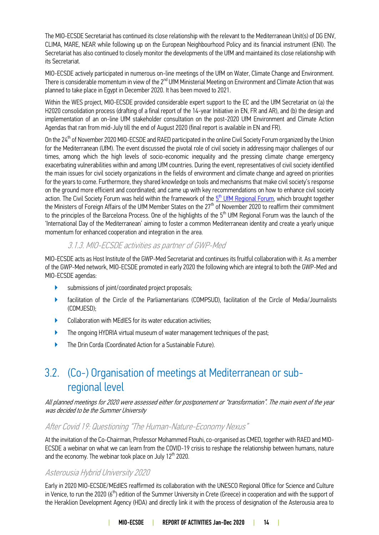The MIO-ECSDE Secretariat has continued its close relationship with the relevant to the Mediterranean Unit(s) of DG ENV, CLIMA, MARE, NEAR while following up on the European Neighbourhood Policy and its financial instrument (ENI). The Secretariat has also continued to closely monitor the developments of the UfM and maintained its close relationship with its Secretariat.

MIO-ECSDE actively participated in numerous on-line meetings of the UfM on Water, Climate Change and Environment. There is considerable momentum in view of the 2<sup>nd</sup> UfM Ministerial Meeting on Environment and Climate Action that was planned to take place in Egypt in December 2020. It has been moved to 2021.

Within the WES project, MIO-ECSDE provided considerable expert support to the EC and the UfM Secretariat on (a) the H2020 consolidation process (drafting of a final report of the 14-year Initiative in EN, FR and AR), and (b) the design and implementation of an on-line UfM stakeholder consultation on the post-2020 UfM Environment and Climate Action Agendas that ran from mid-July till the end of August 2020 (final report is available in EN and FR).

On the 24<sup>th</sup> of November 2020 MIO-ECSDE and RAED participated in the online Civil Society Forum organized by the Union for the Mediterranean (UfM). The event discussed the pivotal role of civil society in addressing major challenges of our times, among which the high levels of socio-economic inequality and the pressing climate change emergency exacerbating vulnerabilities within and among UfM countries. During the event, representatives of civil society identified the main issues for civil society organizations in the fields of environment and climate change and agreed on priorities for the years to come. Furthermore, they shared knowledge on tools and mechanisms that make civil society's response on the ground more efficient and coordinated; and came up with key recommendations on how to enhance civil society action. The Civil Society Forum was held within the framework of the <u>5<sup>th</sup> UfM Regional Forum</u>, which brought together the Ministers of Foreign Affairs of the UfM Member States on the 27<sup>th</sup> of November 2020 to reaffirm their commitment to the principles of the Barcelona Process. One of the highlights of the 5<sup>th</sup> UfM Regional Forum was the launch of the 'International Day of the Mediterranean' aiming to foster a common Mediterranean identity and create a yearly unique momentum for enhanced cooperation and integration in the area.

### 3.1.3. MIO-ECSDE activities as partner of GWP-Med

MIO-ECSDE acts as Host Institute of the GWP-Med Secretariat and continues its fruitful collaboration with it. As a member of the GWP-Med network, MIO-ECSDE promoted in early 2020 the following which are integral to both the GWP-Med and MIO-ECSDE agendas:

- submissions of joint/coordinated project proposals;
- ▶ facilitation of the Circle of the Parliamentarians (COMPSUD), facilitation of the Circle of Media/Journalists (COMJESD);
- ▶ Collaboration with MEdIES for its water education activities;
- The ongoing HYDRIA virtual museum of water management techniques of the past;
- The Drin Corda (Coordinated Action for a Sustainable Future).

### <span id="page-13-0"></span>3.2. (Co-) Organisation of meetings at Mediterranean or subregional level

All planned meetings for 2020 were assessed either for postponement or "transformation". The main event of the year was decided to be the Summer University

### After Covid 19: Questioning "The Human-Nature-Economy Nexus"

At the invitation of the Co-Chairman, Professor Mohammed Ftouhi, co-organised as CMED, together with RAED and MIO-ECSDE a webinar on what we can learn from the COVID-19 crisis to reshape the relationship between humans, nature and the economy. The webinar took place on July  $12<sup>th</sup>$  2020.

### Asterousia Hybrid University 2020

Early in 2020 MIO-ECSDE/MEdIES reaffirmed its collaboration with the UNESCO Regional Office for Science and Culture in Venice, to run the 2020 ( $6<sup>th</sup>$ ) edition of the Summer University in Crete (Greece) in cooperation and with the support of the Heraklion Development Agency (HDA) and directly link it with the process of designation of the Asterousia area to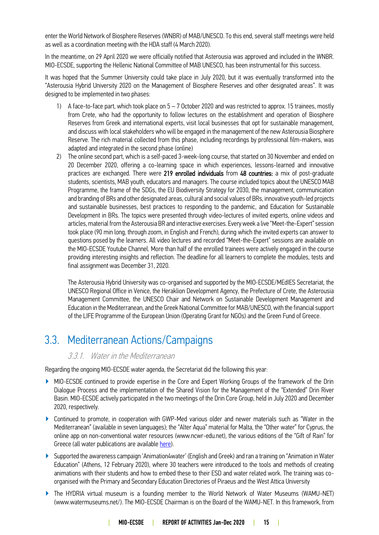enter the World Network of Biosphere Reserves (WNBR) of MAB/UNESCO. To this end, several staff meetings were held as well as a coordination meeting with the HDA staff (4 March 2020).

In the meantime, on 29 April 2020 we were officially notified that Asterousia was approved and included in the WNBR. MIO-ECSDE, supporting the Hellenic National Committee of MAB UNESCO, has been instrumental for this success.

It was hoped that the Summer University could take place in July 2020, but it was eventually transformed into the "Asterousia Hybrid University 2020 on the Management of Biosphere Reserves and other designated areas". It was designed to be implemented in two phases:

- 1) A face-to-face part, which took place on 5 7 October 2020 and was restricted to approx. 15 trainees, mostly from Crete, who had the opportunity to follow lectures on the establishment and operation of Biosphere Reserves from Greek and international experts, visit local businesses that opt for sustainable management, and discuss with local stakeholders who will be engaged in the management of the new Asterousia Biosphere Reserve. The rich material collected from this phase, including recordings by professional film-makers, was adapted and integrated in the second phase (online)
- 2) The online second part, which is a self-paced 3-week-long course, that started on 30 November and ended on 20 December 2020, offering a co-learning space in which experiences, lessons-learned and innovative practices are exchanged. There were 219 enrolled individuals from 48 countries: a mix of post-graduate students, scientists, MAB youth, educators and managers. The course included topics about the UNESCO MAB Programme, the frame of the SDGs, the EU Biodiversity Strategy for 2030, the management, communication and branding of BRs and other designated areas, cultural and social values of BRs, innovative youth-led projects and sustainable businesses, best practices to responding to the pandemic, and Education for Sustainable Development in BRs. The topics were presented through video-lectures of invited experts, online videos and articles, material from the Asterousia BR and interactive exercises. Every week a live "Meet-the-Expert" session took place (90 min long, through zoom, in English and French), during which the invited experts can answer to questions posed by the learners. All video lectures and recorded "Meet-the-Expert" sessions are available on the MIO-ECSDE Youtube Channel. More than half of the enrolled trainees were actively engaged in the course providing interesting insights and reflection. The deadline for all learners to complete the modules, tests and final assignment was December 31, 2020.

The Asterousia Hybrid University was co-organised and supported by the MIO-ECSDE/MEdIES Secretariat, the UNESCO Regional Office in Venice, the Heraklion Development Agency, the Prefecture of Crete, the Asterousia Management Committee, the UNESCO Chair and Network on Sustainable Development Management and Education in the Mediterranean, and the Greek National Committee for MAB/UNESCO, with the financial support of the LIFE Programme of the European Union (Operating Grant for NGOs) and the Green Fund of Greece.

### <span id="page-14-0"></span>3.3. Mediterranean Actions/Campaigns

### 3.3.1. Water in the Mediterranean

Regarding the ongoing MIO-ECSDE water agenda, the Secretariat did the following this year:

- ▶ MIO-ECSDE continued to provide expertise in the Core and Expert Working Groups of the framework of the Drin Dialogue Process and the implementation of the Shared Vision for the Management of the "Extended" Drin River Basin. MIO-ECSDE actively participated in the two meetings of the Drin Core Group, held in July 2020 and December 2020, respectively.
- ▶ Continued to promote, in cooperation with GWP-Med various older and newer materials such as "Water in the Mediterranean" (available in seven languages); the "Alter Aqua" material for Malta, the "Other water" for Cyprus, the online app on non-conventional water resources (www.ncwr-edu.net), the various editions of the "Gift of Rain" for Greece (all water publications are availabl[e here\)](https://medies.net/category/publications).
- ▶ Supported the awareness campaign 'Animation4water' (English and Greek) and ran a training on "Animation in Water Education" (Athens, 12 February 2020), where 30 teachers were introduced to the tools and methods of creating animations with their students and how to embed these to their ESD and water related work. The training was coorganised with the Primary and Secondary Education Directories of Piraeus and the West Attica University
- ▶ The HYDRIA virtual museum is a founding member to the World Network of Water Museums (WAMU-NET) (www.watermuseums.net/). The MIO-ECSDE Chairman is on the Board of the WAMU-NET. In this framework, from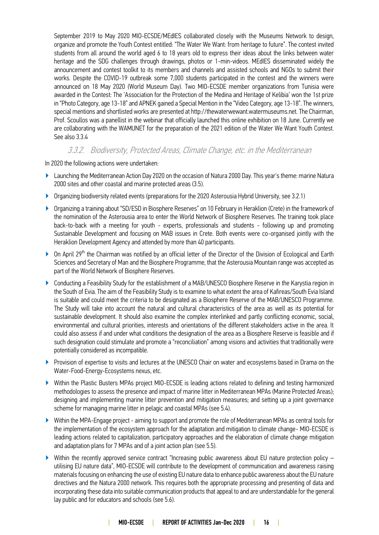September 2019 to May 2020 MIO-ECSDE/MEdIES collaborated closely with the Museums Network to design, organize and promote the Youth Contest entitled: "The Water We Want: from heritage to future". The contest invited students from all around the world aged 6 to 18 years old to express their ideas about the links between water heritage and the SDG challenges through drawings, photos or 1-min-videos. MEdIES disseminated widely the announcement and contest toolkit to its members and channels and assisted schools and NGOs to submit their works. Despite the COVID-19 outbreak some 7,000 students participated in the contest and the winners were announced on 18 May 2020 (World Museum Day). Two MIO-ECSDE member organizations from Tunisia were awarded in the Contest: The 'Association for the Protection of the Medina and Heritage of Kelibia' won the 1st prize in "Photo Category, age 13-18" and APNEK gained a Special Mention in the "Video Category, age 13-18". The winners, special mentions and shortlisted works are presented at http://thewaterwewant.watermuseums.net. The Chairman, Prof. Scoullos was a panellist in the webinar that officially launched this online exhibition on 18 June. Currently we are collaborating with the WAMUNET for the preparation of the 2021 edition of the Water We Want Youth Contest. See also 3.3.4

### 3.3.2. Biodiversity, Protected Areas, Climate Change, etc. in the Mediterranean

In 2020 the following actions were undertaken:

- ▶ Launching the Mediterranean Action Day 2020 on the occasion of Natura 2000 Day. This year's theme: marine Natura 2000 sites and other coastal and marine protected areas (3.5).
- ▶ Organizing biodiversity related events (preparations for the 2020 Asterousia Hybrid University, see 3.2.1)
- ▶ Organizing a training about "SD/ESD in Biosphere Reserves" on 10 February in Heraklion (Crete) in the framework of the nomination of the Asterousia area to enter the World Network of Biosphere Reserves. The training took place back-to-back with a meeting for youth - experts, professionals and students - following up and promoting Sustainable Development and focusing on MAB issues in Crete. Both events were co-organised jointly with the Heraklion Development Agency and attended by more than 40 participants.
- ▶ On April 29<sup>th</sup> the Chairman was notified by an official letter of the Director of the Division of Ecological and Earth Sciences and Secretary of Man and the Biosphere Programme, that the Asterousia Mountain range was accepted as part of the World Network of Biosphere Reserves.
- ▶ Conducting a Feasibility Study for the establishment of a MAB/UNESCO Biosphere Reserve in the Karystia region in the South of Evia. The aim of the Feasibility Study is to examine to what extent the area of Kafireas/South Evia Island is suitable and could meet the criteria to be designated as a Biosphere Reserve of the MAB/UNESCO Programme. The Study will take into account the natural and cultural characteristics of the area as well as its potential for sustainable development. It should also examine the complex interlinked and partly conflicting economic, social, environmental and cultural priorities, interests and orientations of the different stakeholders active in the area. It could also assess if and under what conditions the designation of the area as a Biosphere Reserve is feasible and if such designation could stimulate and promote a "reconciliation" among visions and activities that traditionally were potentially considered as incompatible.
- ▶ Provision of expertise to visits and lectures at the UNESCO Chair on water and ecosystems based in Drama on the Water-Food-Energy-Ecosystems nexus, etc.
- ▶ Within the Plastic Busters MPAs project MIO-ECSDE is leading actions related to defining and testing harmonized methodologies to assess the presence and impact of marine litter in Mediterranean MPAs (Marine Protected Areas); designing and implementing marine litter prevention and mitigation measures; and setting up a joint governance scheme for managing marine litter in pelagic and coastal MPAs (see 5.4).
- Within the MPA-Engage project aiming to support and promote the role of Mediterranean MPAs as central tools for the implementation of the ecosystem approach for the adaptation and mitigation to climate change- MIO-ECSDE is leading actions related to capitalization, participatory approaches and the elaboration of climate change mitigation and adaptation plans for 7 MPAs and of a joint action plan (see 5.5).
- ▶ Within the recently approved service contract "Increasing public awareness about EU nature protection policy utilising EU nature data", MIO-ECSDE will contribute to the development of communication and awareness raising materials focusing on enhancing the use of existing EU nature data to enhance public awareness about the EU nature directives and the Natura 2000 network. This requires both the appropriate processing and presenting of data and incorporating these data into suitable communication products that appeal to and are understandable for the general lay public and for educators and schools (see 5.6).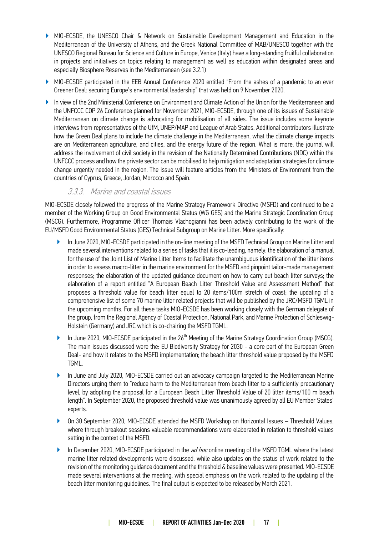- ▶ MIO-ECSDE, the UNESCO Chair & Network on Sustainable Development Management and Education in the Mediterranean of the University of Athens, and the Greek National Committee of MAB/UNESCO together with the UNESCO Regional Bureau for Science and Culture in Europe, Venice (Italy) have a long-standing fruitful collaboration in projects and initiatives on topics relating to management as well as education within designated areas and especially Biosphere Reserves in the Mediterranean (see 3.2.1)
- ▶ MIO-ECSDE participated in the EEB Annual Conference 2020 entitled "From the ashes of a pandemic to an ever Greener Deal: securing Europe's environmental leadership" that was held on 9 November 2020.
- ▶ Ιn view of the 2nd Ministerial Conference on Environment and Climate Action of the Union for the Mediterranean and the UNFCCC COP 26 Conference planned for November 2021, MIO-ECSDE, through one of its issues of Sustainable Mediterranean on climate change is advocating for mobilisation of all sides. The issue includes some keynote interviews from representatives of the UfM, UNEP/MAP and League of Arab States. Additional contributors illustrate how the Green Deal plans to include the climate challenge in the Mediterranean, what the climate change impacts are on Mediterranean agriculture, and cities, and the energy future of the region. What is more, the journal will address the involvement of civil society in the revision of the Nationally Determined Contributions (NDC) within the UNFCCC process and how the private sector can be mobilised to help mitigation and adaptation strategies for climate change urgently needed in the region. The issue will feature articles from the Ministers of Environment from the countries of Cyprus, Greece, Jordan, Morocco and Spain.

### 3.3.3. Marine and coastal issues

MIO-ECSDE closely followed the progress of the Marine Strategy Framework Directive (MSFD) and continued to be a member of the Working Group on Good Environmental Status (WG GES) and the Marine Strategic Coordination Group (MSCG). Furthermore, Programme Officer Thomais Vlachogianni has been actively contributing to the work of the EU/MSFD Good Environmental Status (GES) Technical Subgroup on Marine Litter. More specifically:

- ▶ In June 2020, MIO-ECSDE participated in the on-line meeting of the MSFD Technical Group on Marine Litter and made several interventions related to a series of tasks that it is co-leading, namely: the elaboration of a manual for the use of the Joint List of Marine Litter Items to facilitate the unambiguous identification of the litter items in order to assess macro-litter in the marine environment for the MSFD and pinpoint tailor-made management responses; the elaboration of the updated guidance document on how to carry out beach litter surveys; the elaboration of a report entitled "A European Beach Litter Threshold Value and Assessment Method" that proposes a threshold value for beach litter equal to 20 items/100m stretch of coast; the updating of a comprehensive list of some 70 marine litter related projects that will be published by the JRC/MSFD TGML in the upcoming months. For all these tasks MIO-ECSDE has been working closely with the German delegate of the group, from the Regional Agency of Coastal Protection, National Park, and Marine Protection of Schleswig-Holstein (Germany) and JRC which is co-chairing the MSFD TGML.
- In June 2020, MIO-ECSDE participated in the 26<sup>th</sup> Meeting of the Marine Strategy Coordination Group (MSCG). The main issues discussed were the: EU Biodiversity Strategy for 2030 - a core part of the European Green Deal- and how it relates to the MSFD implementation; the beach litter threshold value proposed by the MSFD TGML.
- ▶ In June and July 2020, MIO-ECSDE carried out an advocacy campaign targeted to the Mediterranean Marine Directors urging them to "reduce harm to the Mediterranean from beach litter to a sufficiently precautionary level, by adopting the proposal for a European Beach Litter Threshold Value of 20 litter items/100 m beach length". In September 2020, the proposed threshold value was unanimously agreed by all EU Member States' experts.
- ▶ On 30 September 2020, MIO-ECSDE attended the MSFD Workshop on Horizontal Issues Threshold Values, where through breakout sessions valuable recommendations were elaborated in relation to threshold values setting in the context of the MSFD.
- ▶ In December 2020, MIO-ECSDE participated in the *ad hoc* online meeting of the MSFD TGML where the latest marine litter related developments were discussed, while also updates on the status of work related to the revision of the monitoring guidance document and the threshold & baseline values were presented. MIO-ECSDE made several interventions at the meeting, with special emphasis on the work related to the updating of the beach litter monitoring guidelines. The final output is expected to be released by March 2021.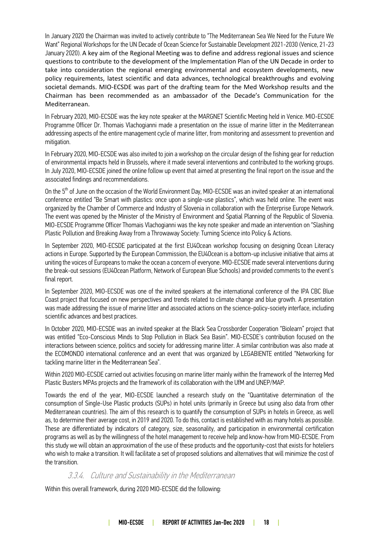In January 2020 the Chairman was invited to actively contribute to "The Mediterranean Sea We Need for the Future We Want" Regional Workshops for the UN Decade of Ocean Science for Sustainable Development 2021-2030 (Venice, 21-23 January 2020). A key aim of the Regional Meeting was to define and address regional issues and science questions to contribute to the development of the Implementation Plan of the UN Decade in order to take into consideration the regional emerging environmental and ecosystem developments, new policy requirements, latest scientific and data advances, technological breakthroughs and evolving societal demands. MIO-ECSDE was part of the drafting team for the Med Workshop results and the Chairman has been recommended as an ambassador of the Decade's Communication for the Mediterranean.

In February 2020, MIO-ECSDE was the key note speaker at the MARGNET Scientific Meeting held in Venice. MIO-ECSDE Programme Officer Dr. Thomais Vlachogianni made a presentation on the issue of marine litter in the Mediterranean addressing aspects of the entire management cycle of marine litter, from monitoring and assessment to prevention and mitigation.

In February 2020, MIO-ECSDE was also invited to join a workshop on the circular design of the fishing gear for reduction of environmental impacts held in Brussels, where it made several interventions and contributed to the working groups. In July 2020, MIO-ECSDE joined the online follow up event that aimed at presenting the final report on the issue and the associated findings and recommendations.

On the 5<sup>th</sup> of June on the occasion of the World Environment Day, MIO-ECSDE was an invited speaker at an international conference entitled "Be Smart with plastics: once upon a single-use plastics", which was held online. The event was organized by the Chamber of Commerce and Industry of Slovenia in collaboration with the Enterprise Europe Network. The event was opened by the Minister of the Ministry of Environment and Spatial Planning of the Republic of Slovenia. MIO-ECSDE Programme Officer Thomais Vlachogianni was the key note speaker and made an intervention on "Slashing Plastic Pollution and Breaking Away from a Throwaway Society: Turning Science into Policy & Actions.

In September 2020, MIO-ECSDE participated at the first EU4Ocean workshop focusing on designing Ocean Literacy actions in Europe. Supported by the European Commission, the EU4Ocean is a bottom-up inclusive initiative that aims at uniting the voices of Europeans to make the ocean a concern of everyone. MIO-ECSDE made several interventions during the break-out sessions (EU4Ocean Platform, Network of European Blue Schools) and provided comments to the event's final report.

In September 2020, MIO-ECSDE was one of the invited speakers at the international conference of the IPA CBC Blue Coast project that focused on new perspectives and trends related to climate change and blue growth. A presentation was made addressing the issue of marine litter and associated actions on the science-policy-society interface, including scientific advances and best practices.

In October 2020, MIO-ECSDE was an invited speaker at the Black Sea Crossborder Cooperation "Biolearn" project that was entitled "Eco-Conscious Minds to Stop Pollution in Black Sea Basin". MIO-ECSDE's contribution focused on the interactions between science, politics and society for addressing marine litter. A similar contribution was also made at the ECOMONDO international conference and an event that was organized by LEGABIENTE entitled "Networking for tackling marine litter in the Mediterranean Sea".

Within 2020 MIO-ECSDE carried out activities focusing on marine litter mainly within the framework of the Interreg Med Plastic Busters MPAs projects and the framework of its collaboration with the UfM and UNEP/MAP.

Towards the end of the year, MIO-ECSDE launched a research study on the "Quantitative determination of the consumption of Single-Use Plastic products (SUPs) in hotel units (primarily in Greece but using also data from other Mediterranean countries). The aim of this research is to quantify the consumption of SUPs in hotels in Greece, as well as, to determine their average cost, in 2019 and 2020. To do this, contact is established with as many hotels as possible. These are differentiated by indicators of category, size, seasonality, and participation in environmental certification programs as well as by the willingness of the hotel management to receive help and know-how from MIO-ECSDE. From this study we will obtain an approximation of the use of these products and the opportunity-cost that exists for hoteliers who wish to make a transition. It will facilitate a set of proposed solutions and alternatives that will minimize the cost of the transition.

### 3.3.4. Culture and Sustainability in the Mediterranean

Within this overall framework, during 2020 MIO-ECSDE did the following: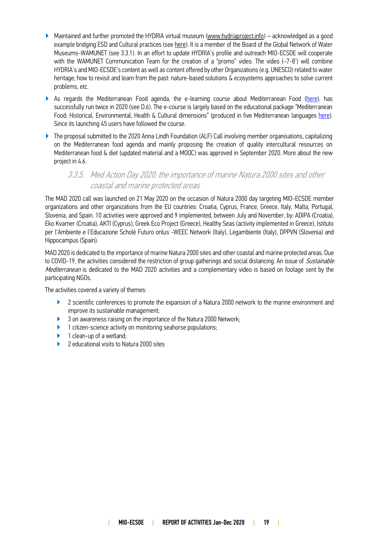- ▶ Maintained and further promoted the HYDRIA virtual museum [\(www.hydriaproject.info\)](http://www.hydriaproject.info/) acknowledged as a good example bridging ESD and Cultural practices (see [here\)](http://insight.glos.ac.uk/sustainability/Education/unescoculture/Pages/default.aspx). It is a member of the Board of the Global Network of Water Museums-WAMUNET (see 3.3.1). In an effort to update HYDRIA's profile and outreach MIO-ECSDE will cooperate with the WAMUNET Communication Team for the creation of a "promo" video. The video (~7-8') will combine HYDRIA's and MIO-ECSDE's content as well as content offered by other Organizations (e.g. UNESCO) related to water heritage; how to revisit and learn from the past: nature-based solutions & ecosystems approaches to solve current problems, etc.
- ▶ As regards the Mediterranean Food agenda, the [e-learning course about Mediterranean Food](http://elearninguoa.org/course/arts-culture-intangible-cultural-heritage/mediterranean-food-and-diet) [\(here\)](http://elearninguoa.org/course/arts-culture-intangible-cultural-heritage/mediterranean-food-and-diet), has successfully run twice in 2020 (see D.6). The e-course is largely based on the educational package "Mediterranean Food: Historical, Environmental, Health & Cultural dimensions" (produced in five Mediterranean languages [here\)](http://www.medies.net/staticpages.asp?aID=371&overRideCategory=1). Since its launching 45 users have followed the course.
- ▶ The proposal submitted to the 2020 Anna Lindh Foundation (ALF) Call involving member organisations, capitalizing on the Mediterranean food agenda and mainly proposing the creation of quality intercultural resources on Mediterranean food & diet (updated material and a MOOC) was approved in September 2020. More about the new project in 4.6.

### 3.3.5. Med Action Day 2020: the importance of marine Natura 2000 sites and other coastal and marine protected areas

The MAD 2020 call was launched on 21 May 2020 on the occasion of Natura 2000 day targeting MIO-ECSDE member organizations and other organizations from the EU countries: Croatia, Cyprus, France, Greece, Italy, Malta, Portugal, Slovenia, and Spain. 10 activities were approved and 9 implemented, between July and November, by: ADIPA (Croatia), Eko Kvarner (Croatia), AKTI (Cyprus), Greek Eco Project (Greece), Healthy Seas (activity implemented in Greece), Istituto per l'Ambiente e l'Educazione Scholé Futuro onlus -WEEC Network (Italy), Legambiente (Italy), DPPVN (Slovenia) and Hippocampus (Spain).

MAD 2020 is dedicated to the importance of marine Natura 2000 sites and other coastal and marine protected areas. Due to COVID-19, the activities considered the restriction of group gatherings and social distancing. An issue of Sustainable Mediterranean is dedicated to the MAD 2020 activities and a complementary video is based on footage sent by the participating NGOs.

The activities covered a variety of themes:

- ▶ 2 scientific conferences to promote the expansion of a Natura 2000 network to the marine environment and improve its sustainable management;
- ▶ 3 on awareness raising on the importance of the Natura 2000 Network;
- ▶ 1 citizen-science activity on monitoring seahorse populations;
- ▶ 1 clean-up of a wetland;
- ▶ 2 educational visits to Natura 2000 sites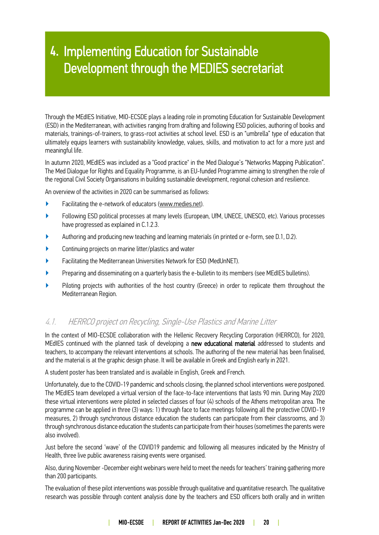# 4. Implementing Education for Sustainable Development through the MEDIES secretariat

Through the MEdIES Initiative, MIO-ECSDE plays a leading role in promoting Education for Sustainable Development Through the MEdIES Initiative, MIU-ECSDE plays a leading role in promoting Education for Sustainable Development<br>(ESD) in the Mediterranean, with activities ranging from drafting and following ESD policies, authoring of bo materials, trainings-of-trainers, to grass-root activities at school level. ESD is an "umbrella" type of education that materials, trainings-of-trainers, to grass-root activities at school level. ESD is an "umbrella" type of education that<br>ultimately equips learners with sustainability knowledge, values, skills, and motivation to act for a meaningful life.

In autumn 2020, MEdIES was included as a "Good practice" in the Med Dialogue's "Networks Mapping Publication". The [Med Dialogue for Rights and Equality Programme,](https://www.facebook.com/MedDialogue/) is an EU-funded Programme aiming to strengthen the role of the regional Civil Society Organisations in building sustainable development, regional cohesion and resilience.

An overview of the activities in 2020 can be summarised as follows:

- ▶ Facilitating the e-network of educators [\(www.medies.net\)](http://www.medies.net/).
- ▶ Following ESD political processes at many levels (European, UfM, UNECE, UNESCO, etc). Various processes have progressed as explained in C.1.2.3.
- ▶ Authoring and producing new teaching and learning materials (in printed or e-form, see D.1, D.2).
- ▶ Continuing projects on marine litter/plastics and water
- ▶ Facilitating the Mediterranean Universities Network for ESD (MedUnNET).
- ▶ Preparing and disseminating on a quarterly basis the e-bulletin to its members (see [MEdIES bulletins\)](http://www.medies.net/articles.asp?cID=18&view=simple&ereg=).
- ▶ Piloting projects with authorities of the host country (Greece) in order to replicate them throughout the Mediterranean Region.

### 4.1. HERRCO project on Recycling, Single-Use Plastics and Marine Litter

In the context of MIO-ECSDE collaboration with the Hellenic Recovery Recycling Corporation (HERRCO), for 2020, MEdIES continued with the planned task of developing a new educational material addressed to students and teachers, to accompany the relevant interventions at schools. The authoring of the new material has been finalised, and the material is at the graphic design phase. It will be available in Greek and English early in 2021.

A student poster has been translated and is available in English, Greek and French.

Unfortunately, due to the COVID-19 pandemic and schools closing, the planned school interventions were postponed. The MEdIES team developed a virtual version of the face-to-face interventions that lasts 90 min. During May 2020 these virtual interventions were piloted in selected classes of four (4) schools of the Athens metropolitan area. The programme can be applied in three (3) ways: 1) through face to face meetings following all the protective COVID-19 measures, 2) through synchronous distance education the students can participate from their classrooms, and 3) through synchronous distance education the students can participate from their houses (sometimes the parents were also involved).

Just before the second 'wave' of the COVID19 pandemic and following all measures indicated by the Ministry of Health, three live public awareness raising events were organised.

Also, during November -December eight webinars were held to meet the needs for teachers' training gathering more than 200 participants.

The evaluation of these pilot interventions was possible through qualitative and quantitative research. The qualitative research was possible through content analysis done by the teachers and ESD officers both orally and in written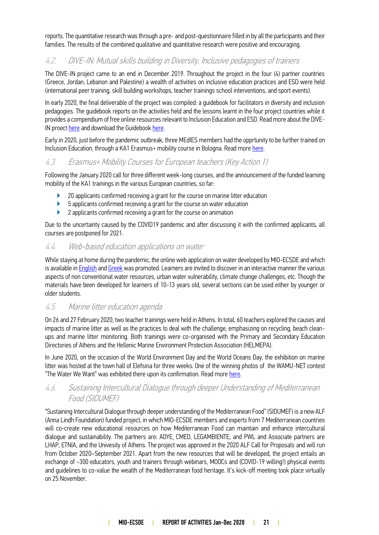reports. The quantitative research was through a pre- and post-questionnaire filled in by all the participants and their families. The results of the combined qualitative and quantitative research were positive and encouraging.

### 4.2. DIVE-IN: Mutual skills building in Diversity, Inclusive pedagogies of trainers

The DIVE-IN project came to an end in December 2019. Throughout the project in the four (4) partner countries (Greece, Jordan, Lebanon and Palestine) a wealth of activities on inclusive education practices and ESD were held (international peer training, skill building workshops, teacher trainings school interventions, and sport events).

In early 2020, the final deliverable of the project was compiled: a guidebook for facilitators in diversity and inclusion pedagogies. The guidebook reports on the activities held and the lessons learnt in the four project countries while it provides a compendium of free online resources relevant to Inclusion Education and ESD. Read more about the DIVEIN proect [here](https://medies.net/project/dive-in-mutual-skills-building-in-diversity-inclusive-pedagogies-of-trainers/) and download the Guidebook [here.](https://medies.net/dive-in-a-guidebook-of-guidebooks-for-facilitators-in-diversity-inclusive-pedagogies/)

Early in 2020, just before the pandemic outbreak, three MEdIES members had the opprtunity to be further trained on Inclusion Education, through a KA1 Erasmus+ mobility course in Bologna. Read more [here.](https://medies.net/242102-2/)

### 4.3. Erasmus+ Mobility Courses for European teachers (Key Action 1)

Following the January 2020 call for three different week-long courses, and the announcement of the funded learning mobility of the KA1 trainings in the various European countries, so far:

- 20 applicants confirmed receiving a grant for the course on marine litter education
- ▶ 5 applicants confirmed receiving a grant for the course on water education
- ▶ 2 applicants confirmed receiving a grant for the course on animation

Due to the uncertainty caused by the COVID19 pandemic and after discussing it with the confirmed applicants, all courses are postponed for 2021.

#### 4.4. Web-based education applications on water

While staying at home during the pandemic, the online web application on water developed by MIO-ECSDE and which is available in [English](https://ncwr.cg-dev.eu/) an[d Greek](https://water-polis.gr/) was promoted. Learners are invited to discover in an interactive manner the various aspects of non conventional water resources, urban water vulnerability, climate change challenges, etc. Though the materials have been developed for learners of 10-13 years old, several sections can be used either by younger or older students.

### 4.5. Marine litter education agenda

On 26 and 27 February 2020, two teacher trainings were held in Athens. In total, 60 teachers explored the causes and impacts of marine litter as well as the practices to deal with the challenge, emphasizing on recycling, beach cleanups and marine litter monitoring. Both trainings were co-organised with the Primary and Secondary Education Directories of Athens and the Hellenic Marine Environment Protection Association (HELMEPA).

In June 2020, on the occasion of the World Environment Day and the World Oceans Day, the exhibition on marine litter was hosted at the town hall of Elefsina for three weeks. One of the winning photos of the WAMU-NET contest "The Water We Want" was exhibited there upon its confirmation. Read more [here.](https://medies.net/staying-alert-for-marine-litter-while-it-gets-worse-due-to-the-pandemic/)

### 4.6. Sustaining Intercultural Dialogue through deeper Understanding of Mediterranean Food (SIDUMEF)

"Sustaining Intercultural Dialogue through deeper understanding of the Mediterranean Food" (SIDUMEF) is a new ALF (Anna Lindh Foundation) funded project, in which MIO-ECSDE members and experts from 7 Mediterranean countries will co-create new educational resources on how Mediterranean Food can maintain and enhance intercultural dialogue and sustainability. The partners are: AOYE, CMED, LEGAMBIENTE, and PWL and Associate partners are LHAP, ETNIA, and the Univesity of Athens. The project was approved in the 2020 ALF Call for Proposals and will run from October 2020–September 2021. Apart from the new resources that will be developed, the project entails an exchange of ~300 educators, youth and trainers through webinars, MOOCs and (COVID-19 willing!) physical events and guidelines to co-value the wealth of the Mediterranean food heritage. It's kick-off meeting took place virtually on 25 November.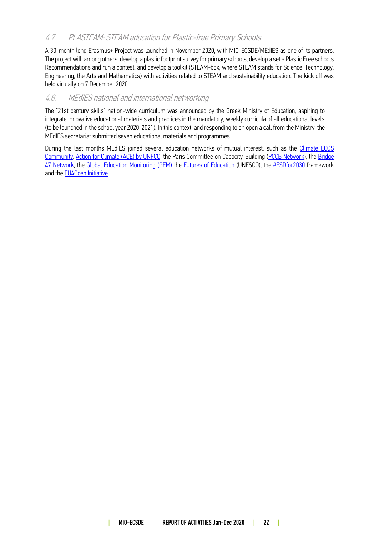### 4.7. PLASTEAM: STEAM education for Plastic-free Primary Schools

A 30-month long Erasmus+ Project was launched in November 2020, with MIO-ECSDE/MEdIES as one of its partners. The project will, among others, develop a plastic footprint survey for primary schools, develop a set a Plastic Free schools Recommendations and run a contest, and develop a toolkit (STEAM-box; where STEAM stands for Science, Technology, Engineering, the Arts and Mathematics) with activities related to STEAM and sustainability education. The kick off was held virtually on 7 December 2020.

### 4.8. MEdIES national and international networking

The "21st century skills" nation-wide curriculum was announced by the Greek Ministry of Education, aspiring to integrate innovative educational materials and practices in the mandatory, weekly curricula of all educational levels (to be launched in the school year 2020-2021). In this context, and responding to an open a call from the Ministry, the MEdIES secretariat submitted seven educational materials and programmes.

During the last months MEdIES joined several education networks of mutual interest, such as the Climate ECOS [Community,](https://climateecos.org/#:~:text=ECOS%20is%20a%20coalition%20of,national%20entities%20around%20the%20world.) [Action for Climate \(ACE\) by UNFCC,](https://medies.net/8th-ace-dialogue/) the Paris Committee on Capacity-Building [\(PCCB Network\)](https://unfccc.int/pccb-network), the [Bridge](https://www.bridge47.org/)  [47 Network,](https://www.bridge47.org/) the [Global Education Monitoring \(GEM\)](https://2020gemreportlaunch.course.tc/) the [Futures of Education](https://en.unesco.org/futuresofeducation/) (UNESCO), the [#ESDfor2030](https://medies.net/unesco-online-workshop-series-on-esd/) framework and th[e EU4Ocen Initiative.](https://medies.net/243572-2/)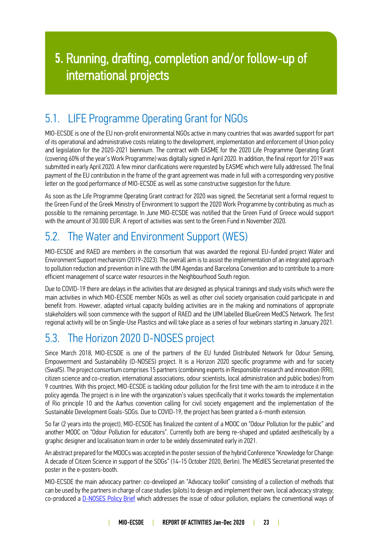# 5. Running, drafting, completion and/or follow-up of international projects

### <span id="page-22-0"></span>5.1. LIFE Programme Operating Grant for NGOs

MIO-ECSDE is one of the EU non-profit environmental NGOs active in many countries that was awarded support for part of its operational and administrative costs relating to the development, implementation and enforcement of Union policy and legislation for the 2020-2021 biennium. The contract with EASME for the 2020 Life Programme Operating Grant (covering 60% of the year's Work Programme) was digitally signed in April 2020. In addition, the final report for 2019 was submitted in early April 2020. A few minor clarifications were requested by EASME which were fully addressed. The final payment of the EU contribution in the frame of the grant agreement was made in full with a corresponding very positive letter on the good performance of MIO-ECSDE as well as some constructive suggestion for the future.

As soon as the Life Programme Operating Grant contract for 2020 was signed, the Secretariat sent a formal request to the Green Fund of the Greek Ministry of Environment to support the 2020 Work Programme by contributing as much as possible to the remaining percentage. In June MIO-ECSDE was notified that the Green Fund of Greece would support with the amount of 30.000 EUR. A report of activities was sent to the Green Fund in November 2020.

### <span id="page-22-1"></span>5.2. The Water and Environment Support (WES)

MIO-ECSDE and RAED are members in the consortium that was awarded the regional EU-funded project Water and Environment Support mechanism (2019-2023). The overall aim is to assist the implementation of an integrated approach to pollution reduction and prevention in line with the UfM Agendas and Barcelona Convention and to contribute to a more efficient management of scarce water resources in the Neighbourhood South region.

Due to COVID-19 there are delays in the activities that are designed as physical trainings and study visits which were the main activities in which MIO-ECSDE member NGOs as well as other civil society organisation could participate in and benefit from. However, adapted virtual capacity building activities are in the making and nominations of appropriate stakeholders will soon commence with the support of RAED and the UfM labelled BlueGreen MedCS Network. The first regional activity will be on Single-Use Plastics and will take place as a series of four webinars starting in January 2021.

### <span id="page-22-2"></span>5.3. The Horizon 2020 D-NOSES project

Since March 2018, MIO-ECSDE is one of the partners of the EU funded Distributed Network for Odour Sensing, Empowerment and Sustainability (D-NOSES) project. It is a Horizon 2020 specific programme with and for society (SwafS). The project consortium comprises 15 partners (combining experts in Responsible research and innovation (RRI), citizen science and co-creation, international associations, odour scientists, local administration and public bodies) from 9 countries. With this project, MIO-ECSDE is tackling odour pollution for the first time with the aim to introduce it in the policy agenda. The project is in line with the organization's values specifically that it works towards the implementation of Rio principle 10 and the Aarhus convention calling for civil society engagement and the implementation of the Sustainable Development Goals-SDGs. Due to COVID-19, the project has been granted a 6-month extension.

So far (2 years into the project), MIO-ECSDE has finalized the content of a MOOC on "Odour Pollution for the public" and another MOOC on "Odour Pollution for educators". Currently both are being re-shaped and updated aesthetically by a graphic designer and localisation team in order to be widely disseminated early in 2021.

An abstract prepared for the MOOCs was accepted in the poster session of the hybrid Conference "Knowledge for Change: A decade of Citizen Science in support of the SDGs" (14-15 October 2020, Berlin). The MEdIES Secretariat presented the poster in the e-posters-booth.

MIO-ECSDE the main advocacy partner: co-developed an "Advocacy toolkit" consisting of a collection of methods that can be used by the partners in charge of case studies (pilots) to design and implement their own, local advocacy strategy; co-produced a [D-NOSES Policy Brief](https://dnoses.eu/wp-content/uploads/2019/03/Policy-Brief_-Digital-A4-Europe_EN.pdf) which addresses the issue of odour pollution, explains the conventional ways of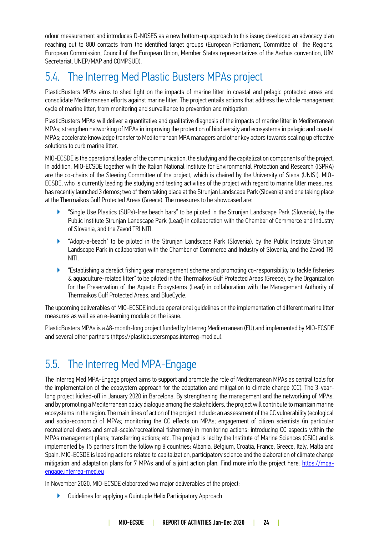odour measurement and introduces D-NOSES as a new bottom-up approach to this issue; developed an advocacy plan reaching out to 800 contacts from the identified target groups (European Parliament, Committee of the Regions, European Commission, Council of the European Union, Member States representatives of the Aarhus convention, UfM Secretariat, UNEP/MAP and COMPSUD).

### <span id="page-23-0"></span>5.4. The Interreg Med Plastic Busters MPAs project

PlasticBusters MPAs aims to shed light on the impacts of marine litter in coastal and pelagic protected areas and consolidate Mediterranean efforts against marine litter. The project entails actions that address the whole management cycle of marine litter, from monitoring and surveillance to prevention and mitigation.

PlasticBusters MPAs will deliver a quantitative and qualitative diagnosis of the impacts of marine litter in Mediterranean MPAs; strengthen networking of MPAs in improving the protection of biodiversity and ecosystems in pelagic and coastal MPAs; accelerate knowledge transfer to Mediterranean MPA managers and other key actors towards scaling up effective solutions to curb marine litter.

MIO-ECSDE is the operational leader of the communication, the studying and the capitalization components of the project. In addition, MIO-ECSDE together with the Italian National Institute for Environmental Protection and Research (ISPRA) are the co-chairs of the Steering Committee of the project, which is chaired by the University of Siena (UNISI). MIO-ECSDE, who is currently leading the studying and testing activities of the project with regard to marine litter measures, has recently launched 3 demos; two of them taking place at the Strunjan Landscape Park (Slovenia) and one taking place at the Thermaikos Gulf Protected Areas (Greece). The measures to be showcased are:

- ▶ "Single Use Plastics (SUPs)-free beach bars" to be piloted in the Strunjan Landscape Park (Slovenia), by the Public Institute Strunjan Landscape Park (Lead) in collaboration with the Chamber of Commerce and Industry of Slovenia, and the Zavod TRI NITI.
- ▶ "Adopt-a-beach" to be piloted in the Strunjan Landscape Park (Slovenia), by the Public Institute Strunjan Landscape Park in collaboration with the Chamber of Commerce and Industry of Slovenia, and the Zavod TRI NITI.
- ▶ "Establishing a derelict fishing gear management scheme and promoting co-responsibility to tackle fisheries & aquaculture-related litter" to be piloted in the Thermaikos Gulf Protected Areas (Greece), by the Organization for the Preservation of the Aquatic Ecosystems (Lead) in collaboration with the Management Authority of Thermaikos Gulf Protected Areas, and BlueCycle.

The upcoming deliverables of MIO-ECSDE include operational guidelines on the implementation of different marine litter measures as well as an e-learning module on the issue.

PlasticBusters MPAs is a 48-month-long project funded by Interreg Mediterranean (EU) and implemented by MIO-ECSDE and several other partners (https://plasticbustersmpas.interreg-med.eu).

### <span id="page-23-1"></span>5.5. The Interreg Med MPA-Engage

The Interreg Med MPA-Engage project aims to support and promote the role of Mediterranean MPAs as central tools for the implementation of the ecosystem approach for the adaptation and mitigation to climate change (CC). The 3-yearlong project kicked-off in January 2020 in Barcelona. By strengthening the management and the networking of MPAs, and by promoting a Mediterranean policy dialogue among the stakeholders, the project will contribute to maintain marine ecosystems in the region. The main lines of action of the project include: an assessment of the CC vulnerability (ecological and socio-economic) of MPAs; monitoring the CC effects on MPAs; engagement of citizen scientists (in particular recreational divers and small-scale/recreational fishermen) in monitoring actions; introducing CC aspects within the MPAs management plans; transferring actions; etc. The project is led by the Institute of Marine Sciences (CSIC) and is implemented by 15 partners from the following 8 countries: Albania, Belgium, Croatia, France, Greece, Italy, Malta and Spain. MIO-ECSDE is leading actions related to capitalization, participatory science and the elaboration of climate change mitigation and adaptation plans for 7 MPAs and of a joint action plan. Find more info the project here: [https://mpa](https://mpa-engage.interreg-med.eu/)[engage.interreg-med.eu](https://mpa-engage.interreg-med.eu/)

In November 2020, MIO-ECSDE elaborated two major deliverables of the project:

▶ Guidelines for applying a Quintuple Helix Participatory Approach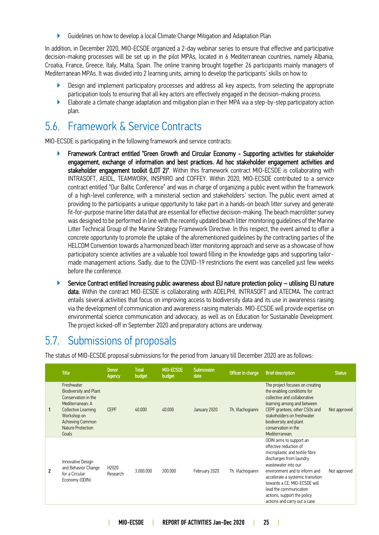▶ Guidelines on how to develop a local Climate Change Mitigation and Adaptation Plan

In addition, in December 2020, MIO-ECSDE organized a 2-day webinar series to ensure that effective and participative decision-making processes will be set up in the pilot MPAs, located in 6 Mediterranean countries, namely Albania, Croatia, France, Greece, Italy, Malta, Spain. The online training brought together 26 participants mainly managers of Mediterranean MPAs. It was divided into 2 learning units, aiming to develop the participants' skills on how to:

- ▶ Design and implement participatory processes and address all key aspects, from selecting the appropriate participation tools to ensuring that all key actors are effectively engaged in the decision-making process.
- ▶ Elaborate a climate change adaptation and mitigation plan in their MPA via a step-by-step participatory action plan.

### <span id="page-24-0"></span>5.6. Framework & Service Contracts

MIO-ECSDE is participating in the following framework and service contracts:

- Framework Contract entitled "Green Growth and Circular Economy Supporting activities for stakeholder engagement, exchange of information and best practices. Ad hoc stakeholder engagement activities and stakeholder engagement toolkit (LOT 2)". Within this framework contract MIO-ECSDE is collaborating with INTRASOFT, AEIDL, TEAMWORK, INSPIIRO and COFFEY. Within 2020, MIO-ECSDE contributed to a service contract entitled "Our Baltic Conference" and was in charge of organizing a public event within the framework of a high-level conference, with a ministerial section and stakeholders' section. The public event aimed at providing to the participants a unique opportunity to take part in a hands-on beach litter survey and generate fit-for-purpose marine litter data that are essential for effective decision-making. The beach macrolitter survey was designed to be performed in line with the recently updated beach litter monitoring guidelines of the Marine Litter Technical Group of the Marine Strategy Framework Directive. In this respect, the event aimed to offer a concrete opportunity to promote the uptake of the aforementioned guidelines by the contracting parties of the HELCOM Convention towards a harmonized beach litter monitoring approach and serve as a showcase of how participatory science activities are a valuable tool toward filling in the knowledge gaps and supporting tailormade management actions. Sadly, due to the COVID-19 restrictions the event was cancelled just few weeks before the conference.
- ▶ Service Contract entitled Increasing public awareness about EU nature protection policy utilising EU nature data. Within the contract MIO-ECSDE is collaborating with ADELPHI, INTRASOFT and ATECMA. The contract entails several activities that focus on improving access to biodiversity data and its use in awareness raising via the development of communication and awareness raising materials. MIO-ECSDE will provide expertise on environmental science communication and advocacy, as well as on Education for Sustainable Development. The project kicked-off in September 2020 and preparatory actions are underway.

### <span id="page-24-1"></span>5.7. Submissions of proposals

The status of MIO-ECSDE proposal submissions for the period from January till December 2020 are as follows:

|   | <b>Title</b>                                                                                                                                                                                        | Donor<br>Agency   | <b>Total</b><br>budget | MIO-ECSDE<br>budget | Submission<br>date | Officer in charge | <b>Brief description</b>                                                                                                                                                                                                                                                                                                            | <b>Status</b> |
|---|-----------------------------------------------------------------------------------------------------------------------------------------------------------------------------------------------------|-------------------|------------------------|---------------------|--------------------|-------------------|-------------------------------------------------------------------------------------------------------------------------------------------------------------------------------------------------------------------------------------------------------------------------------------------------------------------------------------|---------------|
|   | Freshwater<br><b>Biodiversity and Plant</b><br>Conservation in the<br>Mediterranean: A<br><b>Collective Learning</b><br>Workshop on<br><b>Achieving Common</b><br><b>Nature Protection</b><br>Goals | <b>CEPF</b>       | 40,000                 | 40.000              | January 2020       | Th. Vlachogianni  | The project focuses on creating<br>the enabling conditions for<br>collective and collaborative<br>learning among and between<br>CEPF grantees, other CSOs and<br>stakeholders on freshwater<br>biodiversity and plant<br>conservation in the<br>Mediterranean.                                                                      | Not approved  |
| 2 | Innovative Design<br>and Behavior Change<br>for a Circular<br>Economy (ODIN)                                                                                                                        | H2020<br>Research | 3.000.000              | 300.000             | February 2020      | Th. Vlachogianni  | ODIN aims to support an<br>effective reduction of<br>microplastic and textile fibre<br>discharges from laundry<br>wastewater into our<br>environment and to inform and<br>accelerate a systemic transition<br>towards a CE. MIO-ECSDE will<br>lead the communication<br>actions, support the policy<br>actions and carry out a case | Not approved  |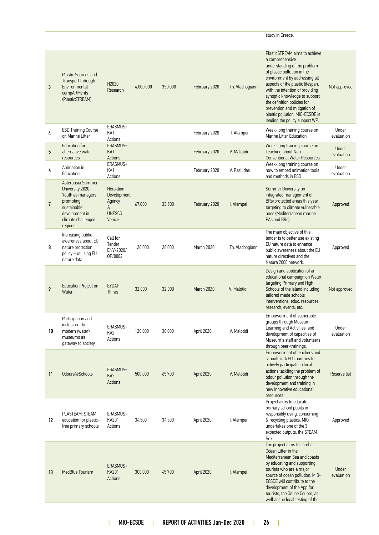|    |                                                                                                                                           |                                                                           |           |         |               |                  | study in Greece.                                                                                                                                                                                                                                                                                                                                                                             |                     |
|----|-------------------------------------------------------------------------------------------------------------------------------------------|---------------------------------------------------------------------------|-----------|---------|---------------|------------------|----------------------------------------------------------------------------------------------------------------------------------------------------------------------------------------------------------------------------------------------------------------------------------------------------------------------------------------------------------------------------------------------|---------------------|
| 3  | <b>Plastic Sources and</b><br>Transport thRough<br>Environmental<br>compArtMents<br>(PlasticSTREAM)                                       | H2020<br>Research                                                         | 4.000.000 | 350.000 | February 2020 | Th. Vlachogianni | PlasticSTREAM aims to achieve<br>a comprehensive<br>understanding of the problem<br>of plastic pollution in the<br>environment by addressing all<br>aspects of the plastic lifespan,<br>with the intention of providing<br>synoptic knowledge to support<br>the definition policies for<br>prevention and mitigation of<br>plastic pollution. MIO-ECSDE is<br>leading the policy support WP. | Not approved        |
| 4  | <b>ESD Training Course</b><br>on Marine Litter                                                                                            | ERASMUS+<br>KA1<br>Actions                                                |           |         | February 2020 | I. Alampei       | Week-long training course on<br>Marine Litter Education                                                                                                                                                                                                                                                                                                                                      | Under<br>evaluation |
| 5  | <b>Education for</b><br>alternative water<br>resources                                                                                    | ERASMUS+<br>KA1<br>Actions                                                |           |         | February 2020 | V. Malotidi      | Week-long training course on<br>Teaching about Non-<br><b>Conventional Water Resources</b>                                                                                                                                                                                                                                                                                                   | Under<br>evaluation |
| 6  | Animation in<br>Education                                                                                                                 | ERASMUS+<br>KA1<br>Actions                                                |           |         | February 2020 | V. Psallidas     | Week-long training course on<br>how to embed animation tools<br>and methods in ESD                                                                                                                                                                                                                                                                                                           | Under<br>evaluation |
| 7  | Asterousia Summer<br>University 2020-<br>Youth as managers<br>promoting<br>sustainable<br>development in<br>climate challenged<br>regions | <b>Heraklion</b><br>Development<br>Agency<br>δ<br><b>UNESCO</b><br>Venice | 67.000    | 33.500  | February 2020 | I. Alampei       | Summer University on<br>integrated management of<br>BRs/protected areas this year<br>targeting to climate vulnerable<br>ones (Mediterranean marine<br>PAs and BRs)                                                                                                                                                                                                                           | Approved            |
| 8  | Increasing public<br>awareness about EU<br>nature protection<br>policy - utilising EU<br>nature data                                      | Call for<br>Tender<br>ENV/2020/<br>OP/0002                                | 120.000   | 28.000  | March 2020    | Th. Vlachogianni | The main objective of this<br>tender is to better use existing<br>EU nature data to enhance<br>public awareness about the EU<br>nature directives and the<br>Natura 2000 network.                                                                                                                                                                                                            | Approved            |
| 9  | <b>Education Project on</b><br>Water                                                                                                      | <b>EYDAP</b><br><b>Thiras</b>                                             | 32.000    | 32.000  | March 2020    | V. Malotidi      | Design and application of an<br>educational campaign on Water<br>targeting Primary and High<br>Schools of the island including<br>tailored made schools<br>interventions, educ. resources,<br>research, events, etc.                                                                                                                                                                         | Not approved        |
| 10 | Participation and<br>inclusion. The<br>modern (water)<br>museums as<br>gateway to society                                                 | ERASMUS+<br>KA <sub>2</sub><br>Actions                                    | 120.000   | 30.000  | April 2020    | V. Malotidi      | Empowerment of vulnerable<br>groups through Museum<br>Learning and Activities, and<br>development of capacities of<br>Museum's staff and volunteers<br>through peer-trainings.                                                                                                                                                                                                               | Under<br>evaluation |
| 11 | Odours@Schools                                                                                                                            | ERASMUS+<br>KA <sub>2</sub><br>Actions                                    | 500.000   | 65.700  | April 2020    | V. Malotidi      | Empowerment of teachers and<br>schools in 4 EU countries to<br>actively participate in local<br>actions tackling the problem of<br>odour pollution through the<br>development and training in<br>new innovative educational<br>resources.                                                                                                                                                    | Reserve list        |
| 12 | PLASTEAM: STEAM<br>education for plastic-<br>free primary schools                                                                         | ERASMUS+<br>KA201<br>Actions                                              | 34.500    | 34.500  | April 2020    | I. Alampei       | Project aims to educate<br>primary school pupils in<br>responsibly using, consuming<br>& recycling plastics. MIO<br>undertakes one of the 3<br>expected outputs, the STEAM<br>Box.                                                                                                                                                                                                           | Approved            |
| 13 | MedBlue Tourism                                                                                                                           | ERASMUS+<br><b>KA201</b><br>Actions                                       | 300.000   | 45.700  | April 2020    | I. Alampei       | The project aims to combat<br>Ocean Litter in the<br>Mediterranean Sea and coasts<br>by educating and supporting<br>tourists who are a major<br>source of ocean pollution. MIO-<br>ECSDE will contribute to the<br>development of the App for<br>tourists, the Online Course, as<br>well as the local testing of the                                                                         | Under<br>evaluation |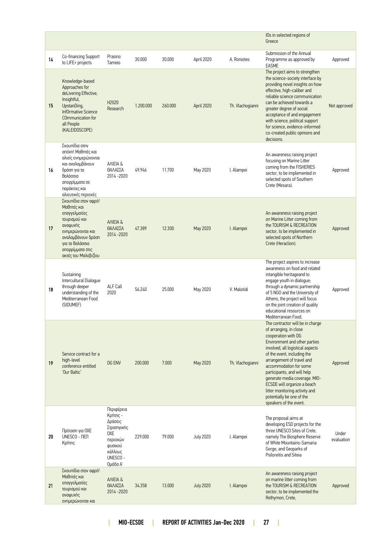|    |                                                                                                                                                                                             |                                                                                                                   |           |         |                  |                  | IOs in selected regions of<br>Greece                                                                                                                                                                                                                                                                                                                                                                                                 |                     |
|----|---------------------------------------------------------------------------------------------------------------------------------------------------------------------------------------------|-------------------------------------------------------------------------------------------------------------------|-----------|---------|------------------|------------------|--------------------------------------------------------------------------------------------------------------------------------------------------------------------------------------------------------------------------------------------------------------------------------------------------------------------------------------------------------------------------------------------------------------------------------------|---------------------|
| 14 | Co-financing Support<br>to LIFE+ projects                                                                                                                                                   | Prasino<br>Tameio                                                                                                 | 30,000    | 30.000  | April 2020       | A. Roniotes      | Submission of the Annual<br>Programme as approved by<br><b>EASME</b>                                                                                                                                                                                                                                                                                                                                                                 | Approved            |
| 15 | Knowledge-based<br>Approaches for<br>deLivering Effective,<br>Insightful,<br>UpstanDing,<br><b>InfOrmative Science</b><br>COmmunication for<br>all People<br>(KALEIDOSCOPE)                 | H2020<br>Research                                                                                                 | 1.200.000 | 260.000 | April 2020       | Th. Vlachogianni | The project aims to strengthen<br>the science-society interface by<br>providing novel insights on how<br>effective, high-caliber and<br>reliable science communication<br>can be achieved towards a<br>greater degree of social<br>acceptance of and engagement<br>with science, political support<br>for science, evidence-informed<br>co-created public opinions and<br>decisions.                                                 | Not approved        |
| 16 | Σκουπίδια στην<br>απόχη! Μαθητές και<br>αλιείς ενημερώνονται<br>και αναλαμβάνουν<br>δράση για τα<br>θαλάσσια<br>απορρίμματα σε<br>παράκτιες και<br>αλιευτικές περιοχές                      | ANEIA &<br>ΘΑΛΑΣΣΑ<br>2014-2020                                                                                   | 49.946    | 11.700  | May 2020         | I. Alampei       | An awareness raising project<br>focusing on Marine Litter<br>coming from the FISHERIES<br>sector, to be implemented in<br>selected spots of Southern<br>Crete (Mesara).                                                                                                                                                                                                                                                              | Approved            |
| 17 | Σκουπίδια στον αφρό!<br>Μαθητές και<br>επαγγελματίες<br>τουρισμού και<br>αναψυχής<br>ενημερώνονται και<br>αναλαμβάνουν δράση<br>για τα θαλάσσια<br>απορρίμματα στις<br>ακτές του Μαλεβιζίου | ANIEIA &<br>ΘΑΛΑΣΣΑ<br>2014 - 2020                                                                                | 47.389    | 12,300  | May 2020         | I. Alampei       | An awareness raising project<br>on Marine Litter coming from<br>the TOURISM & RECREATION<br>sector, to be implemented in<br>selected spots of Northern<br>Crete (Heraclion).                                                                                                                                                                                                                                                         | Approved            |
| 18 | Sustaining<br>Intercultural Dialogue<br>through deeper<br>understanding of the<br>Mediterranean Food<br>(SIDUMEF)                                                                           | ALF Call<br>2020                                                                                                  | 56.240    | 25.000  | May 2020         | V. Malotidi      | The project aspires to increase<br>awareness on food and related<br>intangible heritageand to<br>engage youth in dialogue;<br>through a dynamic partnership<br>of 5 NGO and the University of<br>Athens, the project will focus<br>on the joint creation of quality<br>educational resources on<br>Mediterranean Food.                                                                                                               | Approved            |
| 19 | Service contract for a<br>high-level<br>conference entitled<br>'Our Baltic'                                                                                                                 | <b>DG ENV</b>                                                                                                     | 200.000   | 7.000   | May 2020         | Th. Vlachogianni | The contractor will be in charge<br>of arranging, in close<br>cooperation with DG<br>Environment and other parties<br>involved, all logistical aspects<br>of the event, including the<br>arrangement of travel and<br>accommodation for some<br>participants, and will help<br>generate media coverage. MIO-<br>ECSDE will organize a beach<br>litter monitoring activity and<br>potentially be one of the<br>speakers of the event. | Approved            |
| 20 | Πρόταση για ΟΧΕ<br>UNESCO - ΠΕΠ<br>Κρήτης                                                                                                                                                   | Περιφέρεια<br>Κρήτης -<br>Δράσεις<br>Στρατηγικής<br>0XE<br>περιοχών<br>φυσικού<br>κάλλους<br>UNESCO -<br>Ομάδα Α' | 229.000   | 79.000  | <b>July 2020</b> | I. Alampei       | The proposal aims at<br>developing ESD projects for the<br>three UNESCO Sites of Crete,<br>namely The Biosphere Reserve<br>of White Mountains-Samaria<br>Gorge, and Geoparks of<br>Psiloreitis and Siteia                                                                                                                                                                                                                            | Under<br>evaluation |
| 21 | Σκουπίδια στον αφρό!<br>Μαθητές και<br>επαγγελματίες<br>τουρισμού και<br>αναψυχής<br>ενημερώνονται και                                                                                      | ANIEIA &<br>ΘΑΛΑΣΣΑ<br>2014 - 2020                                                                                | 34.358    | 13.000  | <b>July 2020</b> | I. Alampei       | An awareness raising project<br>on marine litter coming from<br>the TOURISM & RECREATION<br>sector, to be implemented the<br>Rethymon, Crete,                                                                                                                                                                                                                                                                                        | Approved            |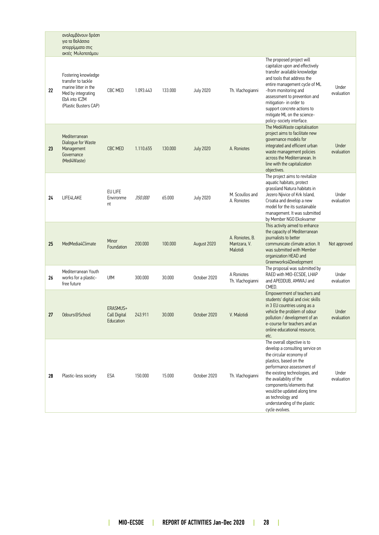|    | αναλαμβάνουν δράση<br>για τα θαλάσσια<br>απορρίμματα στις<br>ακτές Μυλοποτάμου                                                    |                                       |                |         |                  |                                             |                                                                                                                                                                                                                                                                                                                                                 |                     |
|----|-----------------------------------------------------------------------------------------------------------------------------------|---------------------------------------|----------------|---------|------------------|---------------------------------------------|-------------------------------------------------------------------------------------------------------------------------------------------------------------------------------------------------------------------------------------------------------------------------------------------------------------------------------------------------|---------------------|
| 22 | Fostering knowledge<br>transfer to tackle<br>marine litter in the<br>Med by integrating<br>EbA into ICZM<br>(Plastic Busters CAP) | CBC MED                               | 1.093.443      | 133.000 | <b>July 2020</b> | Th. Vlachogianni                            | The proposed project will<br>capitalize upon and effectively<br>transfer available knowledge<br>and tools that address the<br>entire management cycle of ML<br>-from monitoring and<br>assessment to prevention and<br>mitigation- in order to<br>support concrete actions to<br>mitigate ML on the science-<br>policy-society interface.       | Under<br>evaluation |
| 23 | Mediterranean<br>Dialogue for Waste<br>Management<br>Governance<br>(Med4Waste)                                                    | CBC MED                               | 1.110.655      | 130.000 | <b>July 2020</b> | A. Roniotes                                 | The Med4Waste capitalisation<br>project aims to facilitate new<br>governance models for<br>integrated and efficient urban<br>waste management policies<br>across the Mediterranean. In<br>line with the capitalization<br>objectives.                                                                                                           | Under<br>evaluation |
| 24 | LIFE4LAKE                                                                                                                         | EU LIFE<br>Environme<br>nt            | <i>350.000</i> | 65.000  | <b>July 2020</b> | M. Scoullos and<br>A. Roniotes              | The project aims to revitalize<br>aquatic habitats, protect<br>grassland Natura habitats in<br>Jezero Njivice of Krk Island,<br>Croatia and develop a new<br>model for the its sustainable<br>management. It was submitted<br>by Member NGO Ekokvarner                                                                                          | Under<br>evaluation |
| 25 | MedMedia4Climate                                                                                                                  | Minor<br>Foundation                   | 200.000        | 100.000 | August 2020      | A. Roniotes, B.<br>Mantzara, V.<br>Malotidi | This activity aimed to enhance<br>the capacity of Mediterranean<br>journalists to better<br>communicate climate action. It<br>was submitted with Member<br>organization HEAD and<br>Greenworks4Development                                                                                                                                      | Not approved        |
| 26 | Mediterranean Youth<br>works for a plastic-<br>free future                                                                        | UfM                                   | 300.000        | 30.000  | October 2020     | A Roniotes<br>Th. Vlachogianni              | The proposal was submitted by<br>RAED with MIO-ECSDE, LHAP<br>and APEDDUB, AMWAJ and<br>CMED.                                                                                                                                                                                                                                                   | Under<br>evaluation |
| 27 | Odours@School                                                                                                                     | ERASMUS+<br>Call Digital<br>Education | 243.911        | 30.000  | October 2020     | V. Malotidi                                 | Empowerment of teachers and<br>students' digital and civic skills<br>in 3 EU countries using as a<br>vehicle the problem of odour<br>pollution / development of an<br>e-course for teachers and an<br>online educational resource.<br>etc.                                                                                                      | Under<br>evaluation |
| 28 | Plastic-less society                                                                                                              | ESA                                   | 150.000        | 15.000  | October 2020     | Th. Vlachogianni                            | The overall objective is to<br>develop a consulting service on<br>the circular economy of<br>plastics, based on the<br>performance assessment of<br>the existing technologies, and<br>the availability of the<br>components/elements that<br>would be updated along time<br>as technology and<br>understanding of the plastic<br>cycle evolves. | Under<br>evaluation |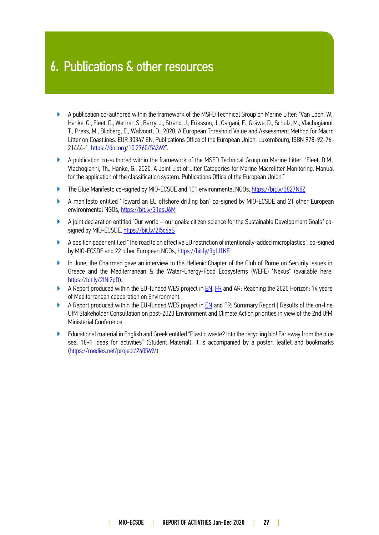### 6. Publications & other resources

- ▶ A publication co-authored within the framework of the MSFD Technical Group on Marine Litter: "Van Loon, W., Hanke, G., Fleet, D., Werner, S., Barry, J., Strand, J., Eriksson, J., Galgani, F., Gräwe, D., Schulz, M., Vlachogianni, T., Press, M., Blidberg, E., Walvoort, D., 2020. A European Threshold Value and Assessment Method for Macro Litter on Coastlines. EUR 30347 EN, Publications Office of the European Union, Luxembourg, ISBN 978-92-76- 21444-1[, https://doi.org/10.2760/54369](https://doi.org/10.2760/54369)".
- ▶ A publication co-authored within the framework of the MSFD Technical Group on Marine Litter: "Fleet, D.M., Vlachogianni, Th., Hanke, G., 2020. A Joint List of Litter Categories for Marine Macrolitter Monitoring. Manual for the application of the classification system. Publications Office of the European Union."
- ▶ The Blue Manifesto co-signed by MIO-ECSDE and 101 environmental NGOs,<https://bit.ly/3827N8Z>
- ▶ A manifesto entitled "Toward an EU offshore drilling ban" co-signed by MIO-ECSDE and 21 other European environmental NGOs,<https://bit.ly/31esU6M>
- ▶ A joint declaration entitled "Our world our goals: citizen science for the Sustainable Development Goals" co-signed by MIO-ECSDE[, https://bit.ly/2I5c6aS](https://bit.ly/2I5c6aS)
- ▶ A position paper entitled "The road to an effective EU restriction of intentionally-added microplastics", co-signed by MIO-ECSDE and 22 other European NGOs, https://bit.ly/3qL11KE
- ▶ In June, the Chairman gave an interview to the Hellenic Chapter of the Club of Rome on Security issues in Greece and the Mediterranean & the Water-Energy-Food Ecosystems (WEFE) "Nexus" (available here: [https://bit.ly/2INi2pD\)](https://bit.ly/2INi2pD).
- A Report produced within the EU-funded WES project in **EN**, [FR](https://www.h2020.net/fr/library/rapport-final-h2020/send/343-rapport-final-h2020/3401-2020-a-l-horizon-retour-sur-14-anne-es-de-cooperation-environnementale-en-mediterranee-fr) and AR: Reaching the 2020 Horizon: 14 years of Mediterranean cooperation on Environment.
- ▶ A Report produced within the EU-funded WES project i[n EN](https://www.wes-med.eu/wp-content/uploads/2020/11/UfM-ENV-CA-Consultation-2020.09.30-Report.pdf) and FR: Summary Report | Results of the on-line UfM Stakeholder Consultation on post-2020 Environment and Climate Action priorities in view of the 2nd UfM Ministerial Conference.
- ▶ Educational material in English and Greek entitled "Plastic waste? Into the recycling bin! Far away from the blue sea. 18+1 ideas for activities" (Student Material). It is accompanied by a poster, leaflet and bookmarks [\(https://medies.net/project/240569/\)](https://medies.net/project/240569/)